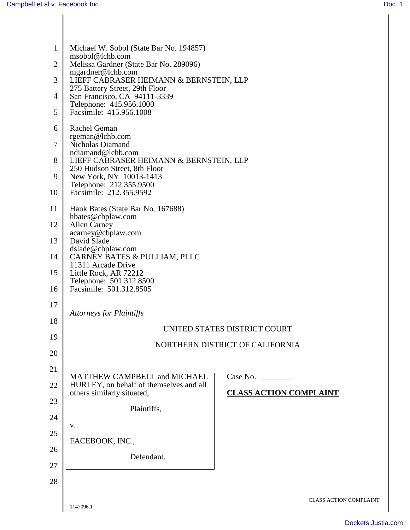| $\mathbf{1}$<br>2<br>3<br>4<br>5 | Michael W. Sobol (State Bar No. 194857)<br>msobol@lchb.com<br>Melissa Gardner (State Bar No. 289096)<br>mgardner@lchb.com<br>LIEFF CABRASER HEIMANN & BERNSTEIN, LLP<br>275 Battery Street, 29th Floor<br>San Francisco, CA 94111-3339<br>Telephone: 415.956.1000<br>Facsimile: 415.956.1008 |                                           |
|----------------------------------|----------------------------------------------------------------------------------------------------------------------------------------------------------------------------------------------------------------------------------------------------------------------------------------------|-------------------------------------------|
| 6<br>7<br>8<br>9                 | Rachel Geman<br>rgeman@lchb.com<br>Nicholas Diamand<br>ndiamand@lchb.com<br>LIEFF CABRASER HEIMANN & BERNSTEIN, LLP<br>250 Hudson Street, 8th Floor<br>New York, NY 10013-1413<br>Telephone: 212.355.9500                                                                                    |                                           |
| 10                               | Facsimile: 212.355.9592                                                                                                                                                                                                                                                                      |                                           |
| 11                               | Hank Bates (State Bar No. 167688)<br>hbates@cbplaw.com                                                                                                                                                                                                                                       |                                           |
| 12                               | <b>Allen Carney</b><br>acarney@cbplaw.com                                                                                                                                                                                                                                                    |                                           |
| 13                               | David Slade<br>dslade@cbplaw.com                                                                                                                                                                                                                                                             |                                           |
| 14                               | CARNEY BATES & PULLIAM, PLLC<br>11311 Arcade Drive                                                                                                                                                                                                                                           |                                           |
| 15                               | Little Rock, AR 72212                                                                                                                                                                                                                                                                        |                                           |
| 16                               | Telephone: 501.312.8500<br>Facsimile: 501.312.8505                                                                                                                                                                                                                                           |                                           |
| 17                               | <b>Attorneys for Plaintiffs</b>                                                                                                                                                                                                                                                              |                                           |
| 18                               |                                                                                                                                                                                                                                                                                              | UNITED STATES DISTRICT COURT              |
| 19                               |                                                                                                                                                                                                                                                                                              | NORTHERN DISTRICT OF CALIFORNIA           |
| 20                               |                                                                                                                                                                                                                                                                                              |                                           |
| 21                               | MATTHEW CAMPBELL and MICHAEL                                                                                                                                                                                                                                                                 | Case No. $\_\_\_\_\_\_\_\_\_\_\_\_\_\_\_$ |
| 22                               | HURLEY, on behalf of themselves and all<br>others similarly situated,                                                                                                                                                                                                                        | <b>CLASS ACTION COMPLAINT</b>             |
| 23                               | Plaintiffs,                                                                                                                                                                                                                                                                                  |                                           |
| 24                               |                                                                                                                                                                                                                                                                                              |                                           |
| 25                               | V.                                                                                                                                                                                                                                                                                           |                                           |
| 26                               | FACEBOOK, INC.,                                                                                                                                                                                                                                                                              |                                           |
| 27                               | Defendant.                                                                                                                                                                                                                                                                                   |                                           |
| 28                               |                                                                                                                                                                                                                                                                                              |                                           |
|                                  | 1147096.1                                                                                                                                                                                                                                                                                    | <b>CLASS ACTION COMPLAINT</b>             |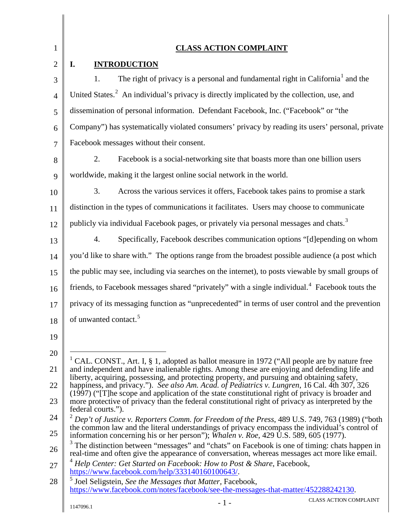<span id="page-1-4"></span><span id="page-1-3"></span><span id="page-1-2"></span><span id="page-1-1"></span><span id="page-1-0"></span>

| $\mathbf{1}$   | <b>CLASS ACTION COMPLAINT</b>                                                                                                                                                                                               |
|----------------|-----------------------------------------------------------------------------------------------------------------------------------------------------------------------------------------------------------------------------|
| $\overline{2}$ | <b>INTRODUCTION</b><br>I.                                                                                                                                                                                                   |
| 3              | The right of privacy is a personal and fundamental right in California <sup>1</sup> and the<br>1.                                                                                                                           |
| $\overline{4}$ | United States. <sup>2</sup> An individual's privacy is directly implicated by the collection, use, and                                                                                                                      |
| 5              | dissemination of personal information. Defendant Facebook, Inc. ("Facebook" or "the                                                                                                                                         |
| 6              | Company") has systematically violated consumers' privacy by reading its users' personal, private                                                                                                                            |
| $\overline{7}$ | Facebook messages without their consent.                                                                                                                                                                                    |
| 8              | Facebook is a social-networking site that boasts more than one billion users<br>2.                                                                                                                                          |
| 9              | worldwide, making it the largest online social network in the world.                                                                                                                                                        |
| 10             | Across the various services it offers, Facebook takes pains to promise a stark<br>3.                                                                                                                                        |
| 11             | distinction in the types of communications it facilitates. Users may choose to communicate                                                                                                                                  |
| 12             | publicly via individual Facebook pages, or privately via personal messages and chats. <sup>3</sup>                                                                                                                          |
| 13             | Specifically, Facebook describes communication options "[d]epending on whom<br>4.                                                                                                                                           |
| 14             | you'd like to share with." The options range from the broadest possible audience (a post which                                                                                                                              |
| 15             | the public may see, including via searches on the internet), to posts viewable by small groups of                                                                                                                           |
| 16             | friends, to Facebook messages shared "privately" with a single individual. <sup>4</sup> Facebook touts the                                                                                                                  |
| 17             | privacy of its messaging function as "unprecedented" in terms of user control and the prevention                                                                                                                            |
| 18             | of unwanted contact. <sup>5</sup>                                                                                                                                                                                           |
| 19             |                                                                                                                                                                                                                             |
| 20             |                                                                                                                                                                                                                             |
| 21             | CAL. CONST., Art. I, § 1, adopted as ballot measure in 1972 ("All people are by nature free<br>and independent and have inalienable rights. Among these are enjoying and defending life and                                 |
| 22             | liberty, acquiring, possessing, and protecting property, and pursuing and obtaining safety,<br>happiness, and privacy."). See also Am. Acad. of Pediatrics v. Lungren, 16 Cal. 4th 307, 326                                 |
| 23             | $(1997)$ ("The scope and application of the state constitutional right of privacy is broader and<br>more protective of privacy than the federal constitutional right of privacy as interpreted by the<br>federal courts."). |
| 24             | $2^{2}$ Dep't of Justice v. Reporters Comm. for Freedom of the Press, 489 U.S. 749, 763 (1989) ("both                                                                                                                       |
| 25             | the common law and the literal understandings of privacy encompass the individual's control of<br>information concerning his or her person"); Whalen v. Roe, 429 U.S. 589, 605 (1977).                                      |
| 26             | <sup>3</sup> The distinction between "messages" and "chats" on Facebook is one of timing: chats happen in<br>real-time and often give the appearance of conversation, whereas messages act more like email.                 |
| 27             | <sup>4</sup> Help Center: Get Started on Facebook: How to Post & Share, Facebook,<br>https://www.facebook.com/help/333140160100643/.                                                                                        |
| 28             | Joel Seligstein, See the Messages that Matter, Facebook,<br>https://www.facebook.com/notes/facebook/see-the-messages-that-matter/452288242130.                                                                              |
|                | <b>CLASS ACTION COMPLAINT</b><br>$-1-$<br>1147096.1                                                                                                                                                                         |
|                |                                                                                                                                                                                                                             |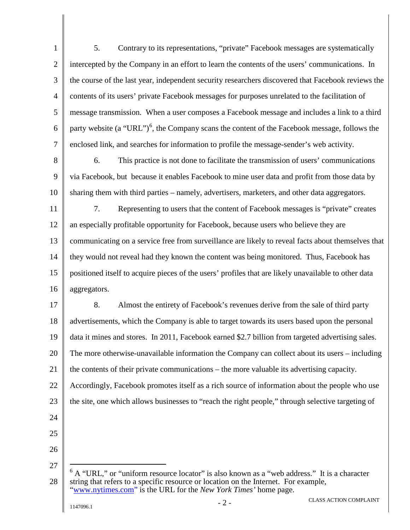1 2 3 4 5 6 7 5. Contrary to its representations, "private" Facebook messages are systematically intercepted by the Company in an effort to learn the contents of the users' communications. In the course of the last year, independent security researchers discovered that Facebook reviews the contents of its users' private Facebook messages for purposes unrelated to the facilitation of message transmission. When a user composes a Facebook message and includes a link to a third party website (a "URL")<sup>[6](#page-2-0)</sup>, the Company scans the content of the Facebook message, follows the enclosed link, and searches for information to profile the message-sender's web activity.

8

9

10

6. This practice is not done to facilitate the transmission of users' communications via Facebook, but because it enables Facebook to mine user data and profit from those data by sharing them with third parties – namely, advertisers, marketers, and other data aggregators.

11 12 13 14 15 16 7. Representing to users that the content of Facebook messages is "private" creates an especially profitable opportunity for Facebook, because users who believe they are communicating on a service free from surveillance are likely to reveal facts about themselves that they would not reveal had they known the content was being monitored. Thus, Facebook has positioned itself to acquire pieces of the users' profiles that are likely unavailable to other data aggregators.

17 18 19 20 21 22 23 24 8. Almost the entirety of Facebook's revenues derive from the sale of third party advertisements, which the Company is able to target towards its users based upon the personal data it mines and stores. In 2011, Facebook earned \$2.7 billion from targeted advertising sales. The more otherwise-unavailable information the Company can collect about its users – including the contents of their private communications – the more valuable its advertising capacity. Accordingly, Facebook promotes itself as a rich source of information about the people who use the site, one which allows businesses to "reach the right people," through selective targeting of

- 25
- 26

<span id="page-2-0"></span><sup>28</sup>  $6$  A "URL," or "uniform resource locator" is also known as a "web address." It is a character string that refers to a specific resource or location on the Internet. For example, ["www.nytimes.com"](http://www.nytimes.com/) is the URL for the *New York Times'* home page.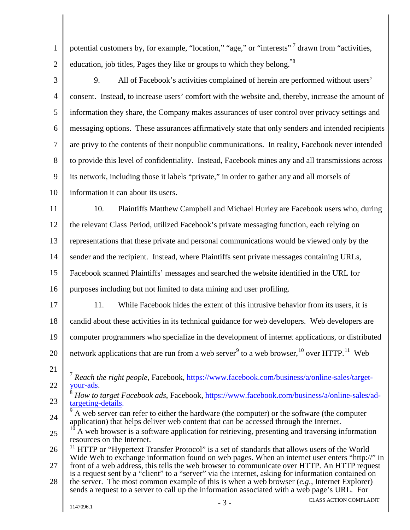1 2 potential customers by, for example, "location," "age," or "interests" drawn from "activities, education, job titles, Pages they like or groups to which they belong."<sup>[8](#page-3-1)</sup>

3 4 5 6 7 8 9 10 9. All of Facebook's activities complained of herein are performed without users' consent. Instead, to increase users' comfort with the website and, thereby, increase the amount of information they share, the Company makes assurances of user control over privacy settings and messaging options. These assurances affirmatively state that only senders and intended recipients are privy to the contents of their nonpublic communications. In reality, Facebook never intended to provide this level of confidentiality. Instead, Facebook mines any and all transmissions across its network, including those it labels "private," in order to gather any and all morsels of information it can about its users.

11 12 13 14 15 10. Plaintiffs Matthew Campbell and Michael Hurley are Facebook users who, during the relevant Class Period, utilized Facebook's private messaging function, each relying on representations that these private and personal communications would be viewed only by the sender and the recipient. Instead, where Plaintiffs sent private messages containing URLs, Facebook scanned Plaintiffs' messages and searched the website identified in the URL for

- 16 purposes including but not limited to data mining and user profiling.
- 17 18 11. While Facebook hides the extent of this intrusive behavior from its users, it is candid about these activities in its technical guidance for web developers. Web developers are
- 19 computer programmers who specialize in the development of internet applications, or distributed

network applications that are run from a web server<sup>[9](#page-3-2)</sup> to a web browser, <sup>[10](#page-3-3)</sup> over HTTP.<sup>[11](#page-3-4)</sup> Web

- 20 21
- <span id="page-3-0"></span>22 <sup>7</sup> Reach the right people, Facebook, [https://www.facebook.com/business/a/online-sales/target-](https://www.facebook.com/business/a/online-sales/target-your-ads)<br>[your-ads.](https://www.facebook.com/business/a/online-sales/target-your-ads)
- <span id="page-3-1"></span>23 <sup>8</sup> *How to target Facebook ads*, Facebook, <u>https://www.facebook.com/business/a/online-sales/ad-[targeting-details.](https://www.facebook.com/business/a/online-sales/ad-targeting-details)</u>
- <span id="page-3-2"></span>24  $9<sup>9</sup>$  A web server can refer to either the hardware (the computer) or the software (the computer application) that helps deliver web content that can be accessed through the Internet.

<span id="page-3-3"></span><sup>25</sup> A web browser is a software application for retrieving, presenting and traversing information resources on the Internet.

<span id="page-3-4"></span><sup>26</sup>  $11$  HTTP or "Hypertext Transfer Protocol" is a set of standards that allows users of the World Wide Web to exchange information found on web pages. When an internet user enters "http://" in

<sup>27</sup> front of a web address, this tells the web browser to communicate over HTTP. An HTTP request is a request sent by a "client" to a "server" via the internet, asking for information contained on

<sup>28</sup> the server. The most common example of this is when a web browser (*e.g.*, Internet Explorer) sends a request to a server to call up the information associated with a web page's URL. For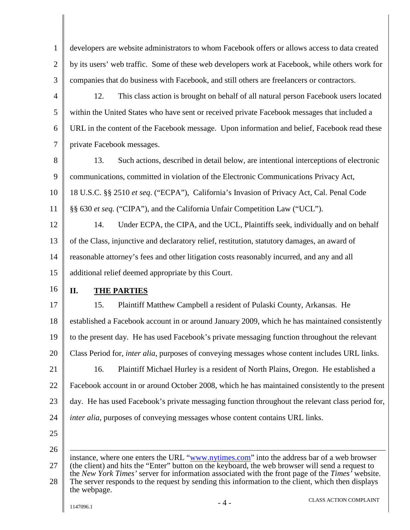| $\mathbf{1}$         | developers are website administrators to whom Facebook offers or allows access to data created                                                                                                                                                                                                                                                                                                                          |
|----------------------|-------------------------------------------------------------------------------------------------------------------------------------------------------------------------------------------------------------------------------------------------------------------------------------------------------------------------------------------------------------------------------------------------------------------------|
| $\overline{2}$       | by its users' web traffic. Some of these web developers work at Facebook, while others work for                                                                                                                                                                                                                                                                                                                         |
| 3                    | companies that do business with Facebook, and still others are freelancers or contractors.                                                                                                                                                                                                                                                                                                                              |
| $\overline{4}$       | This class action is brought on behalf of all natural person Facebook users located<br>12.                                                                                                                                                                                                                                                                                                                              |
| 5                    | within the United States who have sent or received private Facebook messages that included a                                                                                                                                                                                                                                                                                                                            |
| 6                    | URL in the content of the Facebook message. Upon information and belief, Facebook read these                                                                                                                                                                                                                                                                                                                            |
| $\tau$               | private Facebook messages.                                                                                                                                                                                                                                                                                                                                                                                              |
| 8                    | Such actions, described in detail below, are intentional interceptions of electronic<br>13.                                                                                                                                                                                                                                                                                                                             |
| 9                    | communications, committed in violation of the Electronic Communications Privacy Act,                                                                                                                                                                                                                                                                                                                                    |
| 10                   | 18 U.S.C. §§ 2510 et seq. ("ECPA"), California's Invasion of Privacy Act, Cal. Penal Code                                                                                                                                                                                                                                                                                                                               |
| 11                   | §§ 630 et seq. ("CIPA"), and the California Unfair Competition Law ("UCL").                                                                                                                                                                                                                                                                                                                                             |
| 12                   | Under ECPA, the CIPA, and the UCL, Plaintiffs seek, individually and on behalf<br>14.                                                                                                                                                                                                                                                                                                                                   |
| 13                   | of the Class, injunctive and declaratory relief, restitution, statutory damages, an award of                                                                                                                                                                                                                                                                                                                            |
| 14                   | reasonable attorney's fees and other litigation costs reasonably incurred, and any and all                                                                                                                                                                                                                                                                                                                              |
| 15                   | additional relief deemed appropriate by this Court.                                                                                                                                                                                                                                                                                                                                                                     |
| 16                   | II.<br><b>THE PARTIES</b>                                                                                                                                                                                                                                                                                                                                                                                               |
| 17                   | Plaintiff Matthew Campbell a resident of Pulaski County, Arkansas. He<br>15.                                                                                                                                                                                                                                                                                                                                            |
| 18                   | established a Facebook account in or around January 2009, which he has maintained consistently                                                                                                                                                                                                                                                                                                                          |
| 19                   |                                                                                                                                                                                                                                                                                                                                                                                                                         |
|                      | to the present day. He has used Facebook's private messaging function throughout the relevant                                                                                                                                                                                                                                                                                                                           |
|                      | Class Period for, <i>inter alia</i> , purposes of conveying messages whose content includes URL links.                                                                                                                                                                                                                                                                                                                  |
|                      | 16.<br>Plaintiff Michael Hurley is a resident of North Plains, Oregon. He established a                                                                                                                                                                                                                                                                                                                                 |
|                      | Facebook account in or around October 2008, which he has maintained consistently to the present                                                                                                                                                                                                                                                                                                                         |
| 20<br>21<br>22<br>23 | day. He has used Facebook's private messaging function throughout the relevant class period for,                                                                                                                                                                                                                                                                                                                        |
| 24                   | <i>inter alia</i> , purposes of conveying messages whose content contains URL links.                                                                                                                                                                                                                                                                                                                                    |
| 25                   |                                                                                                                                                                                                                                                                                                                                                                                                                         |
| 26                   |                                                                                                                                                                                                                                                                                                                                                                                                                         |
| 27<br>28             | instance, where one enters the URL "www.nytimes.com" into the address bar of a web browser<br>(the client) and hits the "Enter" button on the keyboard, the web browser will send a request to<br>the New York Times' server for information associated with the front page of the Times' website.<br>The server responds to the request by sending this information to the client, which then displays<br>the webpage. |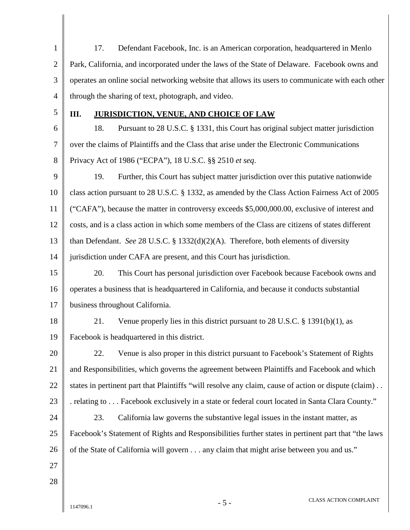| $\mathbf{1}$   | 17.<br>Defendant Facebook, Inc. is an American corporation, headquartered in Menlo                   |
|----------------|------------------------------------------------------------------------------------------------------|
| $\overline{2}$ | Park, California, and incorporated under the laws of the State of Delaware. Facebook owns and        |
| 3              | operates an online social networking website that allows its users to communicate with each other    |
| $\overline{4}$ | through the sharing of text, photograph, and video.                                                  |
| 5              | III.<br><b>JURISDICTION, VENUE, AND CHOICE OF LAW</b>                                                |
| 6              | Pursuant to 28 U.S.C. § 1331, this Court has original subject matter jurisdiction<br>18.             |
| 7              | over the claims of Plaintiffs and the Class that arise under the Electronic Communications           |
| 8              | Privacy Act of 1986 ("ECPA"), 18 U.S.C. §§ 2510 et seq.                                              |
| 9              | 19.<br>Further, this Court has subject matter jurisdiction over this putative nationwide             |
| 10             | class action pursuant to 28 U.S.C. § 1332, as amended by the Class Action Fairness Act of 2005       |
| 11             | ("CAFA"), because the matter in controversy exceeds \$5,000,000.00, exclusive of interest and        |
| 12             | costs, and is a class action in which some members of the Class are citizens of states different     |
| 13             | than Defendant. See 28 U.S.C. § 1332(d)(2)(A). Therefore, both elements of diversity                 |
| 14             | jurisdiction under CAFA are present, and this Court has jurisdiction.                                |
| 15             | This Court has personal jurisdiction over Facebook because Facebook owns and<br>20.                  |
| 16             | operates a business that is headquartered in California, and because it conducts substantial         |
| 17             | business throughout California.                                                                      |
| 18             | Venue properly lies in this district pursuant to $28$ U.S.C. § 1391(b)(1), as<br>21.                 |
| 19             | Facebook is headquartered in this district.                                                          |
| 20             | 22.<br>Venue is also proper in this district pursuant to Facebook's Statement of Rights              |
| 21             | and Responsibilities, which governs the agreement between Plaintiffs and Facebook and which          |
| 22             | states in pertinent part that Plaintiffs "will resolve any claim, cause of action or dispute (claim) |
| 23             | relating to Facebook exclusively in a state or federal court located in Santa Clara County."         |
| 24             | 23.<br>California law governs the substantive legal issues in the instant matter, as                 |
| 25             | Facebook's Statement of Rights and Responsibilities further states in pertinent part that "the laws" |
| 26             | of the State of California will govern any claim that might arise between you and us."               |
| 27             |                                                                                                      |
| 28             |                                                                                                      |
|                |                                                                                                      |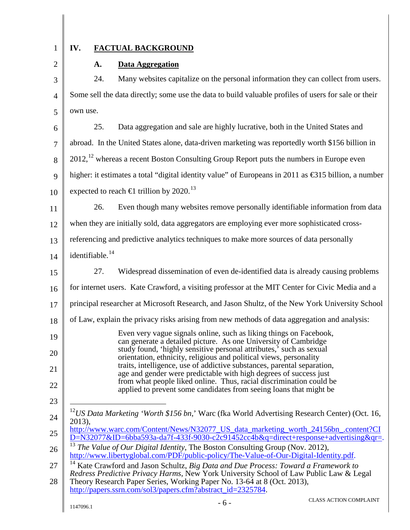1

2

## **IV. FACTUAL BACKGROUND**

## **A. Data Aggregation**

3 4 5 24. Many websites capitalize on the personal information they can collect from users. Some sell the data directly; some use the data to build valuable profiles of users for sale or their own use.

6 7 8 9 10 25. Data aggregation and sale are highly lucrative, both in the United States and abroad. In the United States alone, data-driven marketing was reportedly worth \$156 billion in  $2012$  $2012$ ,  $^{12}$  whereas a recent Boston Consulting Group Report puts the numbers in Europe even higher: it estimates a total "digital identity value" of Europeans in 2011 as €315 billion, a number expected to reach  $\in$ 1 trillion by 2020.<sup>13</sup>

11 26. Even though many websites remove personally identifiable information from data

12 when they are initially sold, data aggregators are employing ever more sophisticated cross-

13 referencing and predictive analytics techniques to make more sources of data personally

14 identifiable.<sup>14</sup>

15 16 27. Widespread dissemination of even de-identified data is already causing problems for internet users. Kate Crawford, a visiting professor at the MIT Center for Civic Media and a

- 17 principal researcher at Microsoft Research, and Jason Shultz, of the New York University School
- 18 of Law, explain the privacy risks arising from new methods of data aggregation and analysis:
- 19 20 21 22 Even very vague signals online, such as liking things on Facebook, can generate a detailed picture. As one University of Cambridge study found, 'highly sensitive personal attributes,' such as sexual orientation, ethnicity, religious and political views, personality traits, intelligence, use of addictive substances, parental separation, age and gender were predictable with high degrees of success just from what people liked online. Thus, racial discrimination could be applied to prevent some candidates from seeing loans that might be
- <span id="page-6-0"></span>24 12*US Data Marketing 'Worth \$156 bn*,' Warc (fka World Advertising Research Center) (Oct. 16, 2013),
- 25 [http://www.warc.com/Content/News/N32077\\_US\\_data\\_marketing\\_worth\\_24156bn\\_.content?CI](http://www.warc.com/Content/News/N32077_US_data_marketing_worth_24156bn_.content?CID=N32077&ID=6bba593a-da7f-433f-9030-c2c91452cc4b&q=direct+response+advertising&qr=)  $D=N32077\&ID=6bba593a-da7f-433f-9030-c2c91452cc4b&q=direct+response+advertising&qr=$ .
- <span id="page-6-1"></span>26 <sup>13</sup> *The Value of Our Digital Identity*, The Boston Consulting Group (Nov. 2012), [http://www.libertyglobal.com/PDF/public-policy/The-Value-of-Our-Digital-Identity.pdf.](http://www.libertyglobal.com/PDF/public-policy/The-Value-of-Our-Digital-Identity.pdf)
- <span id="page-6-2"></span>27 <sup>14</sup> Kate Crawford and Jason Schultz, *Big Data and Due Process: Toward a Framework to Redress Predictive Privacy Harms*, New York University School of Law Public Law & Legal

28 Theory Research Paper Series, Working Paper No. 13-64 at 8 (Oct. 2013), [http://papers.ssrn.com/sol3/papers.cfm?abstract\\_id=2325784.](http://papers.ssrn.com/sol3/papers.cfm?abstract_id=2325784)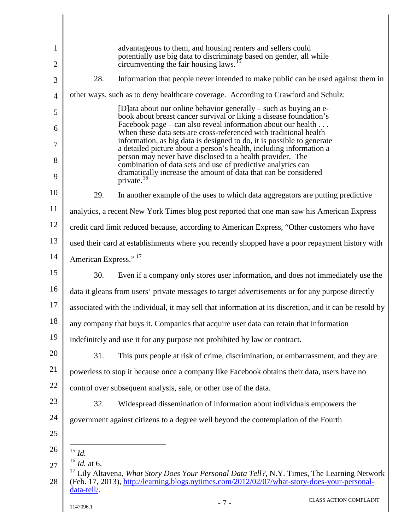<span id="page-7-2"></span><span id="page-7-1"></span><span id="page-7-0"></span>

| 1              | advantageous to them, and housing renters and sellers could<br>potentially use big data to discriminate based on gender, all while                                                                                  |
|----------------|---------------------------------------------------------------------------------------------------------------------------------------------------------------------------------------------------------------------|
| 2              | circumventing the fair housing laws. <sup>15</sup>                                                                                                                                                                  |
| 3              | 28.<br>Information that people never intended to make public can be used against them in                                                                                                                            |
| $\overline{4}$ | other ways, such as to deny healthcare coverage. According to Crawford and Schulz:                                                                                                                                  |
| 5              | [D] at a about our online behavior generally $-$ such as buying an e-<br>book about breast cancer survival or liking a disease foundation's<br>Facebook page – can also reveal information about our health $\dots$ |
| 6              | When these data sets are cross-referenced with traditional health                                                                                                                                                   |
| 7              | information, as big data is designed to do, it is possible to generate<br>a detailed picture about a person's health, including information a                                                                       |
| 8              | person may never have disclosed to a health provider. The<br>combination of data sets and use of predictive analytics can                                                                                           |
| 9              | dramatically increase the amount of data that can be considered<br>private. <sup>16</sup>                                                                                                                           |
| 10             | In another example of the uses to which data aggregators are putting predictive<br>29.                                                                                                                              |
| 11             | analytics, a recent New York Times blog post reported that one man saw his American Express                                                                                                                         |
| 12             | credit card limit reduced because, according to American Express, "Other customers who have                                                                                                                         |
| 13             | used their card at establishments where you recently shopped have a poor repayment history with                                                                                                                     |
| 14             | American Express." <sup>17</sup>                                                                                                                                                                                    |
| 15             | 30.<br>Even if a company only stores user information, and does not immediately use the                                                                                                                             |
| 16             | data it gleans from users' private messages to target advertisements or for any purpose directly                                                                                                                    |
| 17             | associated with the individual, it may sell that information at its discretion, and it can be resold by                                                                                                             |
| 18             | any company that buys it. Companies that acquire user data can retain that information                                                                                                                              |
| 19             | indefinitely and use it for any purpose not prohibited by law or contract.                                                                                                                                          |
| 20             | 31.<br>This puts people at risk of crime, discrimination, or embarrassment, and they are                                                                                                                            |
| 21             | powerless to stop it because once a company like Facebook obtains their data, users have no                                                                                                                         |
| 22             | control over subsequent analysis, sale, or other use of the data.                                                                                                                                                   |
| 23             | 32.<br>Widespread dissemination of information about individuals empowers the                                                                                                                                       |
| 24             | government against citizens to a degree well beyond the contemplation of the Fourth                                                                                                                                 |
| 25             |                                                                                                                                                                                                                     |
| 26             | $^{15}\,$ Id.                                                                                                                                                                                                       |
| 27             | $^{16}$ <i>Id.</i> at 6.                                                                                                                                                                                            |
| 28             | Lily Altavena, What Story Does Your Personal Data Tell?, N.Y. Times, The Learning Network<br>(Feb. 17, 2013), http://learning.blogs.nytimes.com/2012/02/07/what-story-does-your-personal-<br>data-tell/.            |
|                | <b>CLASS ACTION COMPLAINT</b><br>$-7-$<br>1147096.1                                                                                                                                                                 |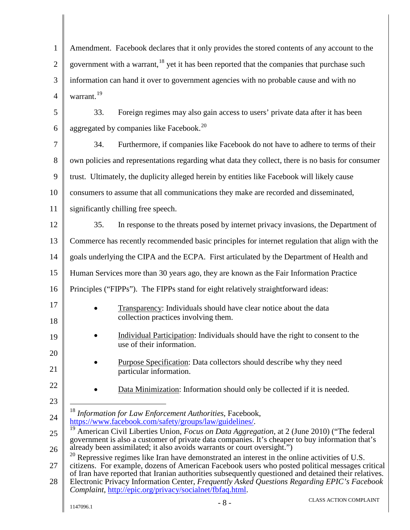<span id="page-8-2"></span><span id="page-8-1"></span><span id="page-8-0"></span>

| $\mathbf{1}$   | Amendment. Facebook declares that it only provides the stored contents of any account to the                                                                                                                                                                                                                                                                                                                                                                            |
|----------------|-------------------------------------------------------------------------------------------------------------------------------------------------------------------------------------------------------------------------------------------------------------------------------------------------------------------------------------------------------------------------------------------------------------------------------------------------------------------------|
| $\overline{2}$ | government with a warrant, <sup>18</sup> yet it has been reported that the companies that purchase such                                                                                                                                                                                                                                                                                                                                                                 |
| 3              | information can hand it over to government agencies with no probable cause and with no                                                                                                                                                                                                                                                                                                                                                                                  |
| $\overline{4}$ | warrant. <sup>19</sup>                                                                                                                                                                                                                                                                                                                                                                                                                                                  |
| 5              | Foreign regimes may also gain access to users' private data after it has been<br>33.                                                                                                                                                                                                                                                                                                                                                                                    |
| 6              | aggregated by companies like Facebook. <sup>20</sup>                                                                                                                                                                                                                                                                                                                                                                                                                    |
| $\tau$         | Furthermore, if companies like Facebook do not have to adhere to terms of their<br>34.                                                                                                                                                                                                                                                                                                                                                                                  |
| 8              | own policies and representations regarding what data they collect, there is no basis for consumer                                                                                                                                                                                                                                                                                                                                                                       |
| 9              | trust. Ultimately, the duplicity alleged herein by entities like Facebook will likely cause                                                                                                                                                                                                                                                                                                                                                                             |
| 10             | consumers to assume that all communications they make are recorded and disseminated,                                                                                                                                                                                                                                                                                                                                                                                    |
| 11             | significantly chilling free speech.                                                                                                                                                                                                                                                                                                                                                                                                                                     |
| 12             | In response to the threats posed by internet privacy invasions, the Department of<br>35.                                                                                                                                                                                                                                                                                                                                                                                |
| 13             | Commerce has recently recommended basic principles for internet regulation that align with the                                                                                                                                                                                                                                                                                                                                                                          |
| 14             | goals underlying the CIPA and the ECPA. First articulated by the Department of Health and                                                                                                                                                                                                                                                                                                                                                                               |
| 15             | Human Services more than 30 years ago, they are known as the Fair Information Practice                                                                                                                                                                                                                                                                                                                                                                                  |
| 16             | Principles ("FIPPs"). The FIPPs stand for eight relatively straightforward ideas:                                                                                                                                                                                                                                                                                                                                                                                       |
| 17<br>18       | Transparency: Individuals should have clear notice about the data<br>$\bullet$<br>collection practices involving them.                                                                                                                                                                                                                                                                                                                                                  |
| 19             | Individual Participation: Individuals should have the right to consent to the<br>use of their information.                                                                                                                                                                                                                                                                                                                                                              |
| 20<br>21       | <b>Purpose Specification:</b> Data collectors should describe why they need<br>particular information.                                                                                                                                                                                                                                                                                                                                                                  |
| 22<br>23       | Data Minimization: Information should only be collected if it is needed.                                                                                                                                                                                                                                                                                                                                                                                                |
| 24             | <sup>18</sup> Information for Law Enforcement Authorities, Facebook,<br>https://www.facebook.com/safety/groups/law/guidelines/.                                                                                                                                                                                                                                                                                                                                         |
| 25<br>26       | American Civil Liberties Union, Focus on Data Aggregation, at 2 (June 2010) ("The federal<br>government is also a customer of private data companies. It's cheaper to buy information that's<br>already been assimilated; it also avoids warrants or court oversight.")                                                                                                                                                                                                 |
| 27<br>28       | 20<br>Repressive regimes like Iran have demonstrated an interest in the online activities of U.S.<br>citizens. For example, dozens of American Facebook users who posted political messages critical<br>of Iran have reported that Iranian authorities subsequently questioned and detained their relatives.<br>Electronic Privacy Information Center, Frequently Asked Questions Regarding EPIC's Facebook<br>Complaint, http://epic.org/privacy/socialnet/fbfaq.html. |
|                | <b>CLASS ACTION COMPLAINT</b><br>$-8-$<br>1147096.1                                                                                                                                                                                                                                                                                                                                                                                                                     |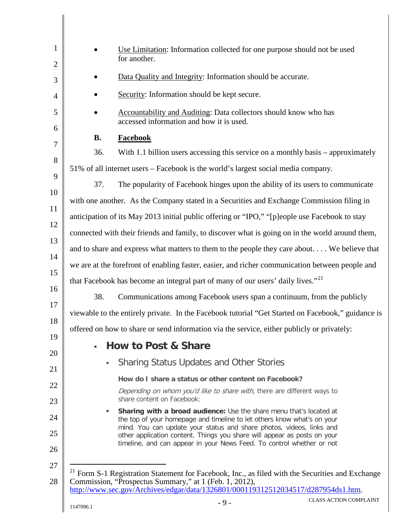<span id="page-9-0"></span>

| $\mathbf{1}$<br>$\overline{2}$ |                | Use Limitation: Information collected for one purpose should not be used<br>for another.                                                                                                                                                                                                                                                                                    |
|--------------------------------|----------------|-----------------------------------------------------------------------------------------------------------------------------------------------------------------------------------------------------------------------------------------------------------------------------------------------------------------------------------------------------------------------------|
| 3                              |                | Data Quality and Integrity: Information should be accurate.                                                                                                                                                                                                                                                                                                                 |
| $\overline{4}$                 |                | Security: Information should be kept secure.                                                                                                                                                                                                                                                                                                                                |
| 5                              |                | Accountability and Auditing: Data collectors should know who has<br>accessed information and how it is used.                                                                                                                                                                                                                                                                |
| 6<br>7                         | <b>B.</b>      | <b>Facebook</b>                                                                                                                                                                                                                                                                                                                                                             |
| 8                              | 36.            | With 1.1 billion users accessing this service on a monthly basis – approximately                                                                                                                                                                                                                                                                                            |
| 9                              |                | 51% of all internet users - Facebook is the world's largest social media company.                                                                                                                                                                                                                                                                                           |
|                                | 37.            | The popularity of Facebook hinges upon the ability of its users to communicate                                                                                                                                                                                                                                                                                              |
| 10<br>11                       |                | with one another. As the Company stated in a Securities and Exchange Commission filing in                                                                                                                                                                                                                                                                                   |
|                                |                | anticipation of its May 2013 initial public offering or "IPO," "[p]eople use Facebook to stay                                                                                                                                                                                                                                                                               |
|                                |                | connected with their friends and family, to discover what is going on in the world around them,                                                                                                                                                                                                                                                                             |
|                                |                | and to share and express what matters to them to the people they care about We believe that                                                                                                                                                                                                                                                                                 |
|                                |                | we are at the forefront of enabling faster, easier, and richer communication between people and                                                                                                                                                                                                                                                                             |
|                                |                | that Facebook has become an integral part of many of our users' daily lives." <sup>21</sup>                                                                                                                                                                                                                                                                                 |
|                                | 38.            | Communications among Facebook users span a continuum, from the publicly                                                                                                                                                                                                                                                                                                     |
|                                |                | viewable to the entirely private. In the Facebook tutorial "Get Started on Facebook," guidance is                                                                                                                                                                                                                                                                           |
|                                |                | offered on how to share or send information via the service, either publicly or privately:                                                                                                                                                                                                                                                                                  |
|                                | $\blacksquare$ | <b>How to Post &amp; Share</b>                                                                                                                                                                                                                                                                                                                                              |
|                                |                | <b>Sharing Status Updates and Other Stories</b>                                                                                                                                                                                                                                                                                                                             |
|                                |                | How do I share a status or other content on Facebook?                                                                                                                                                                                                                                                                                                                       |
|                                |                | Depending on whom you'd like to share with, there are different ways to<br>share content on Facebook:                                                                                                                                                                                                                                                                       |
|                                | ٠              | Sharing with a broad audience: Use the share menu that's located at<br>the top of your homepage and timeline to let others know what's on your<br>mind. You can update your status and share photos, videos, links and<br>other application content. Things you share will appear as posts on your<br>timeline, and can appear in your News Feed. To control whether or not |
| 27<br>28                       |                | <sup>21</sup> Form S-1 Registration Statement for Facebook, Inc., as filed with the Securities and Exchange<br>Commission, "Prospectus Summary," at 1 (Feb. 1, 2012),<br>http://www.sec.gov/Archives/edgar/data/1326801/000119312512034517/d287954ds1.htm.                                                                                                                  |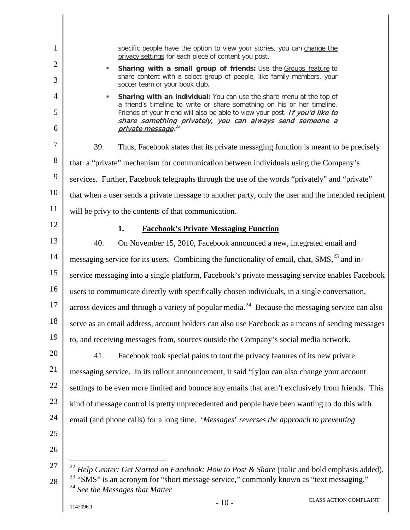<span id="page-10-2"></span><span id="page-10-1"></span><span id="page-10-0"></span>

| $\mathbf{1}$        | specific people have the option to view your stories, you can change the<br>privacy settings for each piece of content you post.                                                  |
|---------------------|-----------------------------------------------------------------------------------------------------------------------------------------------------------------------------------|
| $\overline{2}$<br>3 | Sharing with a small group of friends: Use the Groups feature to<br>ш<br>share content with a select group of people, like family members, your<br>soccer team or your book club. |
| $\overline{4}$      | Sharing with an individual: You can use the share menu at the top of<br>٠                                                                                                         |
| 5                   | a friend's timeline to write or share something on his or her timeline.<br>Friends of your friend will also be able to view your post. If you'd like to                           |
| 6                   | share something privately, you can always send someone a<br>private message. <sup>22</sup>                                                                                        |
| 7                   | Thus, Facebook states that its private messaging function is meant to be precisely<br>39.                                                                                         |
| 8                   | that: a "private" mechanism for communication between individuals using the Company's                                                                                             |
| 9                   | services. Further, Facebook telegraphs through the use of the words "privately" and "private"                                                                                     |
| 10                  | that when a user sends a private message to another party, only the user and the intended recipient                                                                               |
| 11                  | will be privy to the contents of that communication.                                                                                                                              |
| 12                  | 1.<br><b>Facebook's Private Messaging Function</b>                                                                                                                                |
| 13                  | 40.<br>On November 15, 2010, Facebook announced a new, integrated email and                                                                                                       |
| 14                  | messaging service for its users. Combining the functionality of email, chat, SMS, <sup>23</sup> and in-                                                                           |
| 15                  | service messaging into a single platform, Facebook's private messaging service enables Facebook                                                                                   |
| 16                  | users to communicate directly with specifically chosen individuals, in a single conversation,                                                                                     |
| 17                  | across devices and through a variety of popular media. <sup>24</sup> Because the messaging service can also                                                                       |
| 18                  | serve as an email address, account holders can also use Facebook as a means of sending messages                                                                                   |
| 19                  | to, and receiving messages from, sources outside the Company's social media network.                                                                                              |
| 20                  | Facebook took special pains to tout the privacy features of its new private<br>41.                                                                                                |
| 21                  | messaging service. In its rollout announcement, it said "[y] ou can also change your account                                                                                      |
| 22                  | settings to be even more limited and bounce any emails that aren't exclusively from friends. This                                                                                 |
| 23                  | kind of message control is pretty unprecedented and people have been wanting to do this with                                                                                      |
| 24                  | email (and phone calls) for a long time. 'Messages' reverses the approach to preventing                                                                                           |
| 25                  |                                                                                                                                                                                   |
| 26                  |                                                                                                                                                                                   |
| 27                  | <sup>22</sup> Help Center: Get Started on Facebook: How to Post & Share (italic and bold emphasis added).                                                                         |
| 28                  | <sup>23</sup> "SMS" is an acronym for "short message service," commonly known as "text messaging."<br>$^{24}$ See the Messages that Matter                                        |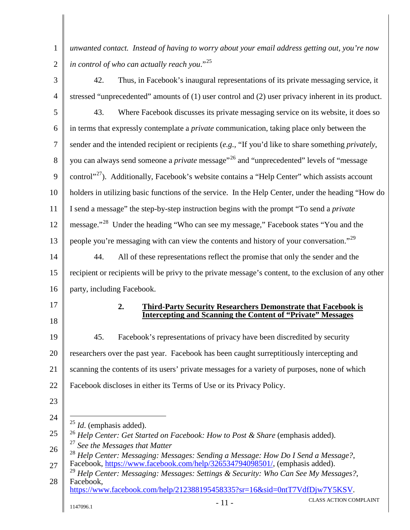*unwanted contact. Instead of having to worry about your email address getting out, you're now in control of who can actually reach you*."[25](#page-11-0)

1

2

<span id="page-11-4"></span><span id="page-11-3"></span><span id="page-11-2"></span><span id="page-11-1"></span><span id="page-11-0"></span>3 4 5 6 7 8 9 10 11 12 13 14 15 16 17 18 19 20 21 22 23 24 25 26 27 28  $1147096.1$  - CLASS ACTION COMPLAINT 42. Thus, in Facebook's inaugural representations of its private messaging service, it stressed "unprecedented" amounts of (1) user control and (2) user privacy inherent in its product. 43. Where Facebook discusses its private messaging service on its website, it does so in terms that expressly contemplate a *private* communication, taking place only between the sender and the intended recipient or recipients (*e.g.,* "If you'd like to share something *privately*, you can always send someone a *private* message"[26](#page-11-1) and "unprecedented" levels of "message control"<sup>[27](#page-11-2)</sup>). Additionally, Facebook's website contains a "Help Center" which assists account holders in utilizing basic functions of the service. In the Help Center, under the heading "How do I send a message" the step-by-step instruction begins with the prompt "To send a *private* message."<sup>[28](#page-11-3)</sup> Under the heading "Who can see my message," Facebook states "You and the people you're messaging with can view the contents and history of your conversation."<sup>[29](#page-11-4)</sup> 44. All of these representations reflect the promise that only the sender and the recipient or recipients will be privy to the private message's content, to the exclusion of any other party, including Facebook. **2. Third-Party Security Researchers Demonstrate that Facebook is Intercepting and Scanning the Content of "Private" Messages**  45. Facebook's representations of privacy have been discredited by security researchers over the past year. Facebook has been caught surreptitiously intercepting and scanning the contents of its users' private messages for a variety of purposes, none of which Facebook discloses in either its Terms of Use or its Privacy Policy. 25 *Id*. (emphasis added). <sup>26</sup> *Help Center: Get Started on Facebook: How to Post & Share* (emphasis added). <sup>27</sup> *See the Messages that Matter* <sup>28</sup> *Help Center: Messaging: Messages: Sending a Message: How Do I Send a Message?*, Facebook, [https://www.facebook.com/help/326534794098501/,](https://www.facebook.com/help/326534794098501/) (emphasis added). <sup>29</sup> *Help Center: Messaging: Messages: Settings & Security: Who Can See My Messages?*, Facebook, [https://www.facebook.com/help/212388195458335?sr=16&sid=0ntT7VdfDjw7Y5KSV.](https://www.facebook.com/help/212388195458335?sr=16&sid=0ntT7VdfDjw7Y5KSV)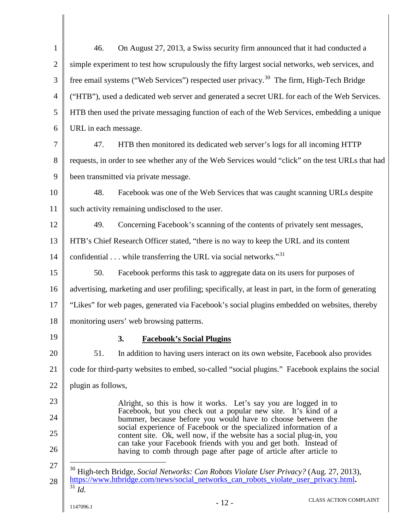<span id="page-12-1"></span><span id="page-12-0"></span>

| $\mathbf{1}$   | On August 27, 2013, a Swiss security firm announced that it had conducted a<br>46.                                                        |
|----------------|-------------------------------------------------------------------------------------------------------------------------------------------|
| $\overline{2}$ | simple experiment to test how scrupulously the fifty largest social networks, web services, and                                           |
| 3              | free email systems ("Web Services") respected user privacy. <sup>30</sup> The firm, High-Tech Bridge                                      |
| $\overline{4}$ | ("HTB"), used a dedicated web server and generated a secret URL for each of the Web Services.                                             |
| 5              | HTB then used the private messaging function of each of the Web Services, embedding a unique                                              |
| 6              | URL in each message.                                                                                                                      |
| $\overline{7}$ | HTB then monitored its dedicated web server's logs for all incoming HTTP<br>47.                                                           |
| 8              | requests, in order to see whether any of the Web Services would "click" on the test URLs that had                                         |
| 9              | been transmitted via private message.                                                                                                     |
| 10             | Facebook was one of the Web Services that was caught scanning URLs despite<br>48.                                                         |
| 11             | such activity remaining undisclosed to the user.                                                                                          |
| 12             | 49.<br>Concerning Facebook's scanning of the contents of privately sent messages,                                                         |
| 13             | HTB's Chief Research Officer stated, "there is no way to keep the URL and its content                                                     |
| 14             | confidential $\dots$ while transferring the URL via social networks." <sup>31</sup>                                                       |
| 15             | Facebook performs this task to aggregate data on its users for purposes of<br>50.                                                         |
| 16             | advertising, marketing and user profiling; specifically, at least in part, in the form of generating                                      |
| 17             | "Likes" for web pages, generated via Facebook's social plugins embedded on websites, thereby                                              |
| 18             | monitoring users' web browsing patterns.                                                                                                  |
| 19             | 3. Facebook's Social Plugins                                                                                                              |
| 20             | 51.<br>In addition to having users interact on its own website, Facebook also provides                                                    |
| 21             | code for third-party websites to embed, so-called "social plugins." Facebook explains the social                                          |
| 22             | plugin as follows,                                                                                                                        |
| 23             | Alright, so this is how it works. Let's say you are logged in to                                                                          |
| 24             | Facebook, but you check out a popular new site. It's kind of a<br>bummer, because before you would have to choose between the             |
| 25             | social experience of Facebook or the specialized information of a<br>content site. Ok, well now, if the website has a social plug-in, you |
| 26             | can take your Facebook friends with you and get both. Instead of<br>having to comb through page after page of article after article to    |
| 27             | <sup>30</sup> High-tech Bridge, Social Networks: Can Robots Violate User Privacy? (Aug. 27, 2013),                                        |
| 28             | https://www.htbridge.com/news/social_networks_can_robots_violate_user_privacy.html.<br>31<br>Id.                                          |
|                | <b>CLASS ACTION COMPLAINT</b><br>$-12-$<br>1147096.1                                                                                      |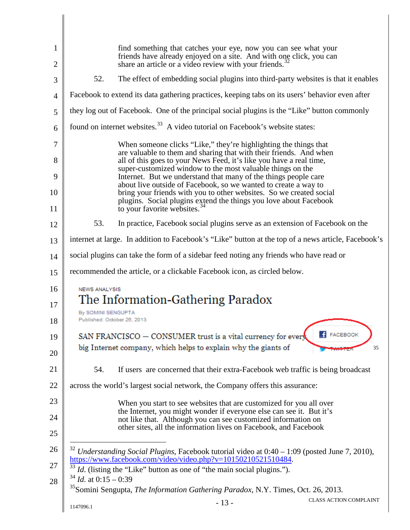<span id="page-13-3"></span><span id="page-13-2"></span><span id="page-13-1"></span><span id="page-13-0"></span>

| 1  |                                                   | find something that catches your eye, now you can see what your<br>friends have already enjoyed on a site. And with one click, you can                       |                               |
|----|---------------------------------------------------|--------------------------------------------------------------------------------------------------------------------------------------------------------------|-------------------------------|
| 2  |                                                   | share an article or a video review with your friends. <sup>32</sup>                                                                                          |                               |
| 3  | 52.                                               | The effect of embedding social plugins into third-party websites is that it enables                                                                          |                               |
| 4  |                                                   | Facebook to extend its data gathering practices, keeping tabs on its users' behavior even after                                                              |                               |
| 5  |                                                   | they log out of Facebook. One of the principal social plugins is the "Like" button commonly                                                                  |                               |
| 6  |                                                   | found on internet websites. <sup>33</sup> A video tutorial on Facebook's website states:                                                                     |                               |
| 7  |                                                   | When someone clicks "Like," they're highlighting the things that                                                                                             |                               |
| 8  |                                                   | are valuable to them and sharing that with their friends. And when<br>all of this goes to your News Feed, it's like you have a real time,                    |                               |
| 9  |                                                   | super-customized window to the most valuable things on the<br>Internet. But we understand that many of the things people care                                |                               |
| 10 |                                                   | about live outside of Facebook, so we wanted to create a way to<br>bring your friends with you to other websites. So we created social                       |                               |
| 11 |                                                   | plugins. Social plugins extend the things you love about Facebook<br>to your favorite websites. <sup>34</sup>                                                |                               |
| 12 | 53.                                               | In practice, Facebook social plugins serve as an extension of Facebook on the                                                                                |                               |
| 13 |                                                   | internet at large. In addition to Facebook's "Like" button at the top of a news article, Facebook's                                                          |                               |
| 14 |                                                   | social plugins can take the form of a sidebar feed noting any friends who have read or                                                                       |                               |
| 15 |                                                   | recommended the article, or a clickable Facebook icon, as circled below.                                                                                     |                               |
| 16 | <b>NEWS ANALYSIS</b>                              |                                                                                                                                                              |                               |
| 17 |                                                   | The Information-Gathering Paradox                                                                                                                            |                               |
| 18 | By SOMINI SENGUPTA<br>Published: October 26, 2013 |                                                                                                                                                              |                               |
| 19 |                                                   | SAN FRANCISCO $-$ CONSUMER trust is a vital currency for ever                                                                                                |                               |
| 20 |                                                   | big Internet company, which helps to explain why the giants of                                                                                               | 35                            |
| 21 | 54.                                               | If users are concerned that their extra-Facebook web traffic is being broadcast                                                                              |                               |
| 22 |                                                   | across the world's largest social network, the Company offers this assurance:                                                                                |                               |
| 23 |                                                   | When you start to see websites that are customized for you all over                                                                                          |                               |
| 24 |                                                   | the Internet, you might wonder if everyone else can see it. But it's<br>not like that. Although you can see customized information on                        |                               |
| 25 |                                                   | other sites, all the information lives on Facebook, and Facebook                                                                                             |                               |
| 26 |                                                   | Understanding Social Plugins, Facebook tutorial video at 0:40 - 1:09 (posted June 7, 2010),<br>https://www.facebook.com/video/video.php?v=10150210521510484. |                               |
| 27 | $34$ <i>Id.</i> at 0:15 – 0:39                    | Id. (listing the "Like" button as one of "the main social plugins.").                                                                                        |                               |
| 28 |                                                   | <sup>35</sup> Somini Sengupta, <i>The Information Gathering Paradox</i> , N.Y. Times, Oct. 26, 2013.                                                         |                               |
|    | 1147096.1                                         | $-13-$                                                                                                                                                       | <b>CLASS ACTION COMPLAINT</b> |
|    |                                                   |                                                                                                                                                              |                               |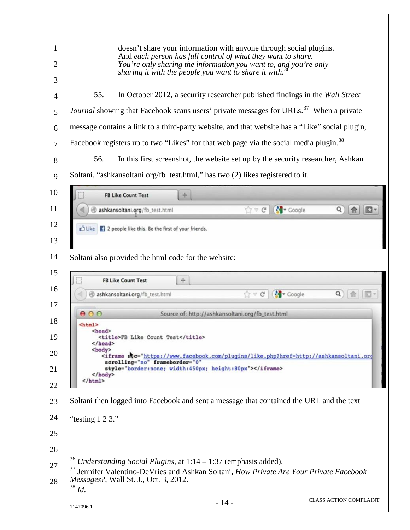<span id="page-14-2"></span><span id="page-14-1"></span><span id="page-14-0"></span>

| 1<br>2<br>3                | doesn't share your information with anyone through social plugins.<br>And each person has full control of what they want to share.<br>You're only sharing the information you want to, and you're only<br>sharing it with the people you want to share it with. <sup>36</sup>                                 |  |  |  |
|----------------------------|---------------------------------------------------------------------------------------------------------------------------------------------------------------------------------------------------------------------------------------------------------------------------------------------------------------|--|--|--|
| 4                          | 55.<br>In October 2012, a security researcher published findings in the Wall Street                                                                                                                                                                                                                           |  |  |  |
| 5                          | Journal showing that Facebook scans users' private messages for URLs. <sup>37</sup> When a private                                                                                                                                                                                                            |  |  |  |
| 6                          | message contains a link to a third-party website, and that website has a "Like" social plugin,                                                                                                                                                                                                                |  |  |  |
| $\overline{7}$             | Facebook registers up to two "Likes" for that web page via the social media plugin. <sup>38</sup>                                                                                                                                                                                                             |  |  |  |
| 8                          | 56.<br>In this first screenshot, the website set up by the security researcher, Ashkan                                                                                                                                                                                                                        |  |  |  |
| 9                          | Soltani, "ashkansoltani.org/fb_test.html," has two (2) likes registered to it.                                                                                                                                                                                                                                |  |  |  |
| 10                         | <b>FB Like Count Test</b><br>$+$                                                                                                                                                                                                                                                                              |  |  |  |
| 11                         | ☆▽ C' St Coogle<br>ashkansoltani.org/fb_test.html                                                                                                                                                                                                                                                             |  |  |  |
| 12                         | Like   2 people like this. Be the first of your friends.                                                                                                                                                                                                                                                      |  |  |  |
| 13                         |                                                                                                                                                                                                                                                                                                               |  |  |  |
| 14                         | Soltani also provided the html code for the website:                                                                                                                                                                                                                                                          |  |  |  |
| 15                         | $+$<br><b>FB Like Count Test</b>                                                                                                                                                                                                                                                                              |  |  |  |
| 16                         | $\Rightarrow$ $C = \begin{bmatrix} 1 & 1 \\ 1 & 1 \end{bmatrix}$ Coogle<br>Q<br>ashkansoltani.org/fb_test.html                                                                                                                                                                                                |  |  |  |
| 17                         | 000<br>Source of: http://ashkansoltani.org/fb_test.html                                                                                                                                                                                                                                                       |  |  |  |
| 18<br>19<br>20<br>21<br>22 | <html><br/><head><br/><title>FB Like Count Test</title><br/></head><br/><body><br/><iframe <br="" frameborder="0" no"="" skc="https://www.facebook.com/plugins/like.php?href=http://ashkansoltani.org&lt;br&gt;scrolling=">style="border:none; width:450px; height:80px"&gt;</iframe><br/></body><br/></html> |  |  |  |
| 23                         | Soltani then logged into Facebook and sent a message that contained the URL and the text                                                                                                                                                                                                                      |  |  |  |
| 24                         | "testing 1 2 3."                                                                                                                                                                                                                                                                                              |  |  |  |
| 25                         |                                                                                                                                                                                                                                                                                                               |  |  |  |
| 26                         |                                                                                                                                                                                                                                                                                                               |  |  |  |
| 27<br>28                   | $36$ Understanding Social Plugins, at $1:14-1:37$ (emphasis added).<br><sup>37</sup> Jennifer Valentino-DeVries and Ashkan Soltani, How Private Are Your Private Facebook<br>Messages?, Wall St. J., Oct. 3, 2012.<br>$38$ <i>Id.</i>                                                                         |  |  |  |
|                            | <b>CLASS ACTION COMPLAINT</b><br>$-14-$<br>1147096.1                                                                                                                                                                                                                                                          |  |  |  |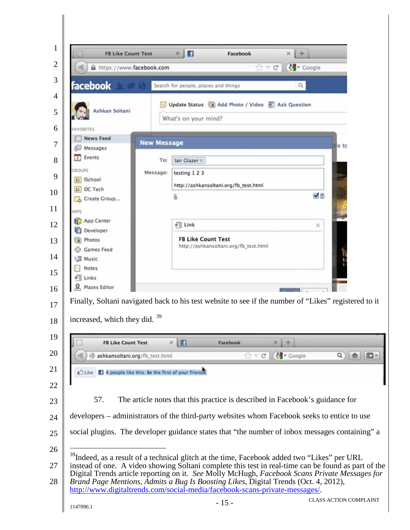<span id="page-15-0"></span>

| <b>FB Like Count Test</b><br>https://www.facebook.com | $\times$ $\blacksquare$<br>Facebook<br>÷<br>$\times$<br><b>S</b> Coogle<br>$\mathbb{C} \times \mathbb{C}$                                                                                                                                                           |                             |
|-------------------------------------------------------|---------------------------------------------------------------------------------------------------------------------------------------------------------------------------------------------------------------------------------------------------------------------|-----------------------------|
|                                                       |                                                                                                                                                                                                                                                                     |                             |
| facebook                                              | Search for people, places and things                                                                                                                                                                                                                                |                             |
| Ashkan Soltani<br>AVORITES                            | Update Status [1] Add Photo / Video [1] Ask Question<br>What's on your mind?                                                                                                                                                                                        |                             |
| <b>News Feed</b>                                      | <b>New Message</b>                                                                                                                                                                                                                                                  |                             |
| Messages                                              | tle to                                                                                                                                                                                                                                                              |                             |
| Events                                                | To:<br>lan Glazer x                                                                                                                                                                                                                                                 |                             |
| <b><i>GROUPS</i></b><br><b>LE</b> ISchool             | testing 1 2 3<br>Message:                                                                                                                                                                                                                                           |                             |
| 11 DC Tech                                            | http://ashkansoltani.org/fb_test.html                                                                                                                                                                                                                               |                             |
| Create Group                                          | ØU<br>ß                                                                                                                                                                                                                                                             |                             |
| APPS                                                  |                                                                                                                                                                                                                                                                     |                             |
| App Center<br>Developer                               | $\sqrt{ }$ Link<br>×                                                                                                                                                                                                                                                |                             |
| Photos                                                | <b>FB Like Count Test</b>                                                                                                                                                                                                                                           |                             |
| Games Feed                                            | http://ashkansoltani.org/fb_test.html                                                                                                                                                                                                                               |                             |
| <b>B</b> Music                                        |                                                                                                                                                                                                                                                                     |                             |
| <b>Notes</b><br>Links                                 |                                                                                                                                                                                                                                                                     |                             |
| R. Places Editor                                      |                                                                                                                                                                                                                                                                     |                             |
|                                                       | Finally, Soltani navigated back to his test website to see if the number of "Likes" registered to it                                                                                                                                                                |                             |
| increased, which they did. 39                         |                                                                                                                                                                                                                                                                     |                             |
| <b>FB Like Count Test</b>                             | $\mathbf{H}$<br>Facebook                                                                                                                                                                                                                                            |                             |
|                                                       | <b>S</b> Coogle<br>ashkansoltani.org/fb_test.html<br>$\gamma \vee c$<br>$\mathbf{Q}$                                                                                                                                                                                | $\left  \mathbf{a} \right $ |
|                                                       | Like    4 people like this. Be the first of your frience.                                                                                                                                                                                                           |                             |
|                                                       |                                                                                                                                                                                                                                                                     |                             |
| 57.                                                   | The article notes that this practice is described in Facebook's guidance for                                                                                                                                                                                        |                             |
|                                                       | developers – administrators of the third-party websites whom Facebook seeks to entice to use                                                                                                                                                                        |                             |
|                                                       | social plugins. The developer guidance states that "the number of inbox messages containing" a                                                                                                                                                                      |                             |
|                                                       |                                                                                                                                                                                                                                                                     |                             |
|                                                       | <sup>39</sup> Indeed, as a result of a technical glitch at the time, Facebook added two "Likes" per URL<br>instead of one. A video showing Soltani complete this test in real-time can be found as part of the                                                      |                             |
|                                                       | Digital Trends article reporting on it. See Molly McHugh, Facebook Scans Private Messages for<br>Brand Page Mentions, Admits a Bug Is Boosting Likes, Digital Trends (Oct. 4, 2012),<br>http://www.digitaltrends.com/social-media/facebook-scans-private-messages/. |                             |
|                                                       | <b>CLASS ACTION COMPLAINT</b>                                                                                                                                                                                                                                       |                             |
| 1147096.1                                             | $-15-$                                                                                                                                                                                                                                                              |                             |

II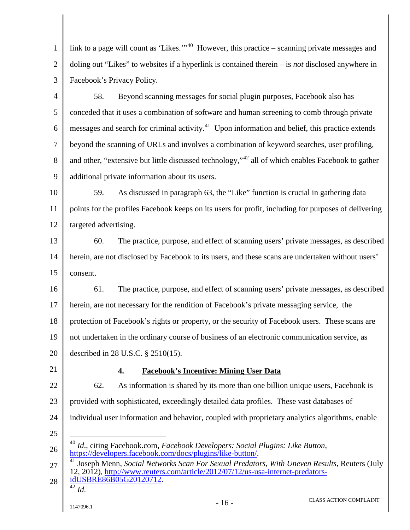1 2 3 link to a page will count as 'Likes.'<sup>1,[40](#page-16-0)</sup> However, this practice – scanning private messages and doling out "Likes" to websites if a hyperlink is contained therein – is *not* disclosed anywhere in Facebook's Privacy Policy.

4 5 6 7 8 9 58. Beyond scanning messages for social plugin purposes, Facebook also has conceded that it uses a combination of software and human screening to comb through private messages and search for criminal activity.<sup>[41](#page-16-1)</sup> Upon information and belief, this practice extends beyond the scanning of URLs and involves a combination of keyword searches, user profiling, and other, "extensive but little discussed technology,"<sup>[42](#page-16-2)</sup> all of which enables Facebook to gather additional private information about its users.

10 11 12 59. As discussed in paragraph 63, the "Like" function is crucial in gathering data points for the profiles Facebook keeps on its users for profit, including for purposes of delivering targeted advertising.

13 14 15 60. The practice, purpose, and effect of scanning users' private messages, as described herein, are not disclosed by Facebook to its users, and these scans are undertaken without users' consent.

16 17 18 19 20 61. The practice, purpose, and effect of scanning users' private messages, as described herein, are not necessary for the rendition of Facebook's private messaging service, the protection of Facebook's rights or property, or the security of Facebook users. These scans are not undertaken in the ordinary course of business of an electronic communication service, as described in 28 U.S.C. § 2510(15).

21

## **4. Facebook's Incentive: Mining User Data**

22 23 24 62. As information is shared by its more than one billion unique users, Facebook is provided with sophisticated, exceedingly detailed data profiles. These vast databases of individual user information and behavior, coupled with proprietary analytics algorithms, enable

25

<span id="page-16-0"></span>26 40 *Id*., citing Facebook.com, *Facebook Developers: Social Plugins: Like Button*, [https://developers.facebook.com/docs/plugins/like-button/.](https://developers.facebook.com/docs/plugins/like-button/)

<span id="page-16-2"></span><span id="page-16-1"></span>27 28 <sup>41</sup> Joseph Menn, *Social Networks Scan For Sexual Predators, With Uneven Results*, Reuters (July 12, 2012), [http://www.reuters.com/article/2012/07/12/us-usa-internet-predators](http://www.reuters.com/article/2012/07/12/us-usa-internet-predators-idUSBRE86B05G20120712)[idUSBRE86B05G20120712.](http://www.reuters.com/article/2012/07/12/us-usa-internet-predators-idUSBRE86B05G20120712) <sup>42</sup> *Id*.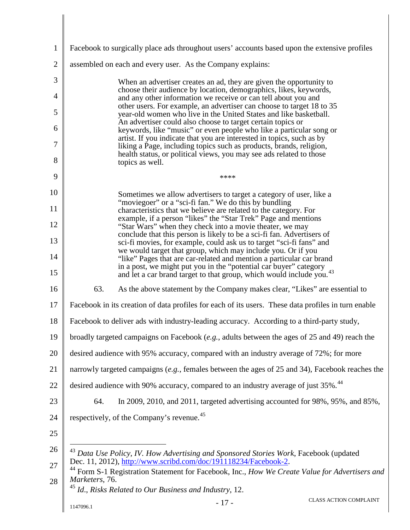<span id="page-17-2"></span><span id="page-17-1"></span><span id="page-17-0"></span>

| 1              | Facebook to surgically place ads throughout users' accounts based upon the extensive profiles                                                                       |  |  |  |
|----------------|---------------------------------------------------------------------------------------------------------------------------------------------------------------------|--|--|--|
| $\overline{2}$ | assembled on each and every user. As the Company explains:                                                                                                          |  |  |  |
| 3              | When an advertiser creates an ad, they are given the opportunity to                                                                                                 |  |  |  |
| 4              | choose their audience by location, demographics, likes, keywords,<br>and any other information we receive or can tell about you and                                 |  |  |  |
| 5              | other users. For example, an advertiser can choose to target 18 to 35<br>year-old women who live in the United States and like basketball.                          |  |  |  |
| 6              | An advertiser could also choose to target certain topics or<br>keywords, like "music" or even people who like a particular song or                                  |  |  |  |
| 7              | artist. If you indicate that you are interested in topics, such as by<br>liking a Page, including topics such as products, brands, religion,                        |  |  |  |
| 8              | health status, or political views, you may see ads related to those<br>topics as well.                                                                              |  |  |  |
| 9              | ****                                                                                                                                                                |  |  |  |
| 10             | Sometimes we allow advertisers to target a category of user, like a<br>"moviegoer" or a "sci-fi fan." We do this by bundling                                        |  |  |  |
| 11             | characteristics that we believe are related to the category. For                                                                                                    |  |  |  |
| 12             | example, if a person "likes" the "Star Trek" Page and mentions<br>"Star Wars" when they check into a movie theater, we may                                          |  |  |  |
| 13             | conclude that this person is likely to be a sci-fi fan. Advertisers of<br>sci-fi movies, for example, could ask us to target "sci-fi fans" and                      |  |  |  |
| 14             | we would target that group, which may include you. Or if you<br>"like" Pages that are car-related and mention a particular car brand                                |  |  |  |
| 15             | in a post, we might put you in the "potential car buyer" category<br>and let a car brand target to that group, which would include you.                             |  |  |  |
| 16             | 63.<br>As the above statement by the Company makes clear, "Likes" are essential to                                                                                  |  |  |  |
| 17             | Facebook in its creation of data profiles for each of its users. These data profiles in turn enable                                                                 |  |  |  |
| 18             | Facebook to deliver ads with industry-leading accuracy. According to a third-party study,                                                                           |  |  |  |
| 19             | broadly targeted campaigns on Facebook (e.g., adults between the ages of 25 and 49) reach the                                                                       |  |  |  |
| 20             | desired audience with 95% accuracy, compared with an industry average of 72%; for more                                                                              |  |  |  |
| 21             | narrowly targeted campaigns (e.g., females between the ages of 25 and 34), Facebook reaches the                                                                     |  |  |  |
| 22             | desired audience with 90% accuracy, compared to an industry average of just 35%. <sup>44</sup>                                                                      |  |  |  |
| 23             | In 2009, 2010, and 2011, targeted advertising accounted for $98\%, 95\%,$ and $85\%,$<br>64.                                                                        |  |  |  |
| 24             | respectively, of the Company's revenue. <sup>45</sup>                                                                                                               |  |  |  |
| 25             |                                                                                                                                                                     |  |  |  |
| 26<br>27       | <sup>43</sup> Data Use Policy, IV. How Advertising and Sponsored Stories Work, Facebook (updated<br>Dec. 11, 2012), http://www.scribd.com/doc/191118234/Facebook-2. |  |  |  |
| 28             | <sup>44</sup> Form S-1 Registration Statement for Facebook, Inc., How We Create Value for Advertisers and<br>Marketers, 76.                                         |  |  |  |
|                | Id., Risks Related to Our Business and Industry, 12.                                                                                                                |  |  |  |
|                | <b>CLASS ACTION COMPLAINT</b><br>$-17-$<br>1147096.1                                                                                                                |  |  |  |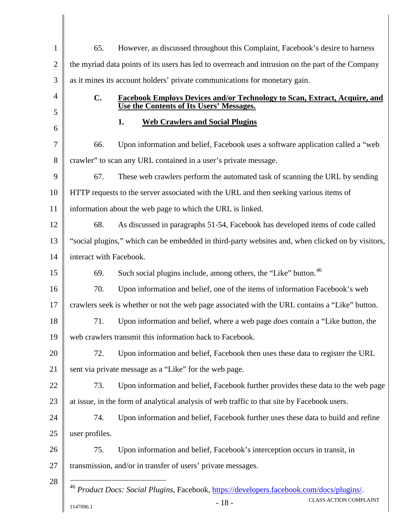<span id="page-18-0"></span>

| $\mathbf{1}$   | 65.                                                                                               | However, as discussed throughout this Complaint, Facebook's desire to harness                        |  |  |  |
|----------------|---------------------------------------------------------------------------------------------------|------------------------------------------------------------------------------------------------------|--|--|--|
| $\overline{2}$ | the myriad data points of its users has led to overreach and intrusion on the part of the Company |                                                                                                      |  |  |  |
| 3              | as it mines its account holders' private communications for monetary gain.                        |                                                                                                      |  |  |  |
| 4              | $C_{\bullet}$<br><b>Facebook Employs Devices and/or Technology to Scan, Extract, Acquire, and</b> |                                                                                                      |  |  |  |
| 5              | Use the Contents of Its Users' Messages.                                                          |                                                                                                      |  |  |  |
| 6              |                                                                                                   | 1.<br><b>Web Crawlers and Social Plugins</b>                                                         |  |  |  |
| 7              | 66.                                                                                               | Upon information and belief, Facebook uses a software application called a "web"                     |  |  |  |
| 8              | crawler" to scan any URL contained in a user's private message.                                   |                                                                                                      |  |  |  |
| 9              | 67.                                                                                               | These web crawlers perform the automated task of scanning the URL by sending                         |  |  |  |
| 10             | HTTP requests to the server associated with the URL and then seeking various items of             |                                                                                                      |  |  |  |
| 11             |                                                                                                   | information about the web page to which the URL is linked.                                           |  |  |  |
| 12             | 68.                                                                                               | As discussed in paragraphs 51-54, Facebook has developed items of code called                        |  |  |  |
| 13             | "social plugins," which can be embedded in third-party websites and, when clicked on by visitors, |                                                                                                      |  |  |  |
| 14             | interact with Facebook.                                                                           |                                                                                                      |  |  |  |
| 15             | 69.                                                                                               | Such social plugins include, among others, the "Like" button. <sup>46</sup>                          |  |  |  |
| 16             | 70.                                                                                               | Upon information and belief, one of the items of information Facebook's web                          |  |  |  |
| 17             |                                                                                                   | crawlers seek is whether or not the web page associated with the URL contains a "Like" button.       |  |  |  |
| 18             | 71.                                                                                               | Upon information and belief, where a web page <i>does</i> contain a "Like button, the                |  |  |  |
| 19             |                                                                                                   | web crawlers transmit this information back to Facebook.                                             |  |  |  |
| 20             | 72.                                                                                               | Upon information and belief, Facebook then uses these data to register the URL                       |  |  |  |
| 21             |                                                                                                   | sent via private message as a "Like" for the web page.                                               |  |  |  |
| 22             | 73.                                                                                               | Upon information and belief, Facebook further provides these data to the web page                    |  |  |  |
| 23             |                                                                                                   | at issue, in the form of analytical analysis of web traffic to that site by Facebook users.          |  |  |  |
| 24             | 74.                                                                                               | Upon information and belief, Facebook further uses these data to build and refine                    |  |  |  |
| 25             | user profiles.                                                                                    |                                                                                                      |  |  |  |
| 26             | 75.                                                                                               | Upon information and belief, Facebook's interception occurs in transit, in                           |  |  |  |
| 27             |                                                                                                   | transmission, and/or in transfer of users' private messages.                                         |  |  |  |
| 28             |                                                                                                   | <sup>46</sup> Product Docs: Social Plugins, Facebook, https://developers.facebook.com/docs/plugins/. |  |  |  |
|                | 1147096.1                                                                                         | <b>CLASS ACTION COMPLAINT</b><br>$-18-$                                                              |  |  |  |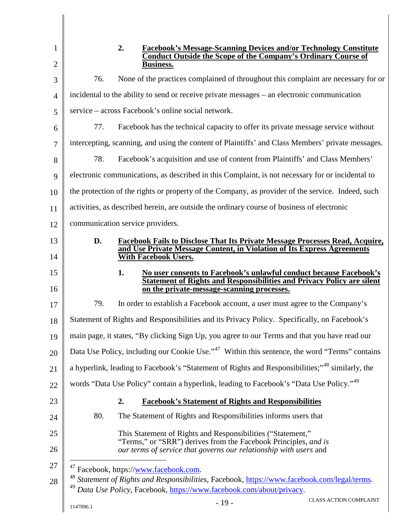<span id="page-19-2"></span><span id="page-19-1"></span><span id="page-19-0"></span>

| $\mathbf{1}$   | 2.<br><b>Facebook's Message-Scanning Devices and/or Technology Constitute</b><br><b>Conduct Outside the Scope of the Company's Ordinary Course of</b> |  |  |  |
|----------------|-------------------------------------------------------------------------------------------------------------------------------------------------------|--|--|--|
| $\mathfrak{2}$ | <b>Business.</b>                                                                                                                                      |  |  |  |
| 3              | None of the practices complained of throughout this complaint are necessary for or<br>76.                                                             |  |  |  |
| $\overline{4}$ | incidental to the ability to send or receive private messages – an electronic communication                                                           |  |  |  |
| 5              | service – across Facebook's online social network.                                                                                                    |  |  |  |
| 6              | Facebook has the technical capacity to offer its private message service without<br>77.                                                               |  |  |  |
| $\overline{7}$ | intercepting, scanning, and using the content of Plaintiffs' and Class Members' private messages.                                                     |  |  |  |
| 8              | Facebook's acquisition and use of content from Plaintiffs' and Class Members'<br>78.                                                                  |  |  |  |
| 9              | electronic communications, as described in this Complaint, is not necessary for or incidental to                                                      |  |  |  |
| 10             | the protection of the rights or property of the Company, as provider of the service. Indeed, such                                                     |  |  |  |
| 11             | activities, as described herein, are outside the ordinary course of business of electronic                                                            |  |  |  |
| 12             | communication service providers.                                                                                                                      |  |  |  |
| 13             | D.<br><b>Facebook Fails to Disclose That Its Private Message Processes Read, Acquire,</b>                                                             |  |  |  |
| 14             | and Use Private Message Content, in Violation of Its Express Agreements<br><b>With Facebook Users.</b>                                                |  |  |  |
| 15             | 1.<br>No user consents to Facebook's unlawful conduct because Facebook's                                                                              |  |  |  |
| 16             | <b>Statement of Rights and Responsibilities and Privacy Policy are silent</b><br>on the private-message-scanning processes.                           |  |  |  |
| 17             | 79.<br>In order to establish a Facebook account, a user must agree to the Company's                                                                   |  |  |  |
| 18             | Statement of Rights and Responsibilities and its Privacy Policy. Specifically, on Facebook's                                                          |  |  |  |
| 19             | main page, it states, "By clicking Sign Up, you agree to our Terms and that you have read our                                                         |  |  |  |
| 20             | Data Use Policy, including our Cookie Use." <sup>47</sup> Within this sentence, the word "Terms" contains                                             |  |  |  |
| 21             | a hyperlink, leading to Facebook's "Statement of Rights and Responsibilities;" <sup>48</sup> similarly, the                                           |  |  |  |
| 22             | words "Data Use Policy" contain a hyperlink, leading to Facebook's "Data Use Policy." <sup>49</sup>                                                   |  |  |  |
| 23             | 2.<br><b>Facebook's Statement of Rights and Responsibilities</b>                                                                                      |  |  |  |
| 24             | 80.<br>The Statement of Rights and Responsibilities informs users that                                                                                |  |  |  |
| 25             | This Statement of Rights and Responsibilities ("Statement,"                                                                                           |  |  |  |
| 26             | "Terms," or "SRR") derives from the Facebook Principles, and is<br>our terms of service that governs our relationship with users and                  |  |  |  |
| 27             | <sup>47</sup> Facebook, https://www.facebook.com.                                                                                                     |  |  |  |
| 28             | <sup>48</sup> Statement of Rights and Responsibilities, Facebook, https://www.facebook.com/legal/terms.                                               |  |  |  |
|                | Data Use Policy, Facebook, https://www.facebook.com/about/privacy.<br><b>CLASS ACTION COMPLAINT</b>                                                   |  |  |  |
|                | $-19-$<br>1147096.1                                                                                                                                   |  |  |  |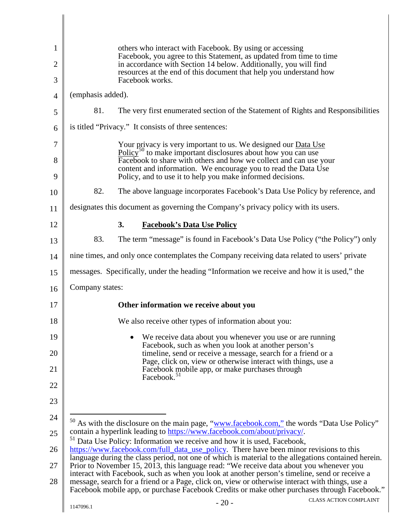<span id="page-20-1"></span><span id="page-20-0"></span>

| $\mathbf{1}$   | others who interact with Facebook. By using or accessing<br>Facebook, you agree to this Statement, as updated from time to time                                                                                                                                                                  |  |  |  |
|----------------|--------------------------------------------------------------------------------------------------------------------------------------------------------------------------------------------------------------------------------------------------------------------------------------------------|--|--|--|
| $\overline{2}$ | in accordance with Section 14 below. Additionally, you will find<br>resources at the end of this document that help you understand how                                                                                                                                                           |  |  |  |
| 3              | Facebook works.                                                                                                                                                                                                                                                                                  |  |  |  |
| $\overline{4}$ | (emphasis added).                                                                                                                                                                                                                                                                                |  |  |  |
| 5              | 81.<br>The very first enumerated section of the Statement of Rights and Responsibilities                                                                                                                                                                                                         |  |  |  |
| 6              | is titled "Privacy." It consists of three sentences:                                                                                                                                                                                                                                             |  |  |  |
| 7              | Your privacy is very important to us. We designed our Data Use<br>$Policy50$ to make important disclosures about how you can use                                                                                                                                                                 |  |  |  |
| 8<br>9         | Facebook to share with others and how we collect and can use your<br>content and information. We encourage you to read the Data Use<br>Policy, and to use it to help you make informed decisions.                                                                                                |  |  |  |
| 10             | 82.<br>The above language incorporates Facebook's Data Use Policy by reference, and                                                                                                                                                                                                              |  |  |  |
| 11             | designates this document as governing the Company's privacy policy with its users.                                                                                                                                                                                                               |  |  |  |
| 12             | <b>Facebook's Data Use Policy</b><br>3.                                                                                                                                                                                                                                                          |  |  |  |
| 13             | 83.<br>The term "message" is found in Facebook's Data Use Policy ("the Policy") only                                                                                                                                                                                                             |  |  |  |
| 14             | nine times, and only once contemplates the Company receiving data related to users' private                                                                                                                                                                                                      |  |  |  |
| 15             | messages. Specifically, under the heading "Information we receive and how it is used," the                                                                                                                                                                                                       |  |  |  |
| 16             | Company states:                                                                                                                                                                                                                                                                                  |  |  |  |
| 17             | Other information we receive about you                                                                                                                                                                                                                                                           |  |  |  |
| 18             | We also receive other types of information about you:                                                                                                                                                                                                                                            |  |  |  |
| 19             | We receive data about you whenever you use or are running                                                                                                                                                                                                                                        |  |  |  |
| 20             | Facebook, such as when you look at another person's<br>timeline, send or receive a message, search for a friend or a                                                                                                                                                                             |  |  |  |
| 21             | Page, click on, view or otherwise interact with things, use a<br>Facebook mobile app, or make purchases through<br>Facebook. <sup>51</sup>                                                                                                                                                       |  |  |  |
| 22             |                                                                                                                                                                                                                                                                                                  |  |  |  |
| 23             |                                                                                                                                                                                                                                                                                                  |  |  |  |
| 24             | $^{50}$ As with the disclosure on the main page, " $www$ facebook.com," the words "Data Use Policy"                                                                                                                                                                                              |  |  |  |
| 25             | contain a hyperlink leading to https://www.facebook.com/about/privacy/.<br>51                                                                                                                                                                                                                    |  |  |  |
| 26             | Data Use Policy: Information we receive and how it is used, Facebook,<br>https://www.facebook.com/full_data_use_policy. There have been minor revisions to this                                                                                                                                  |  |  |  |
| 27             | language during the class period, not one of which is material to the allegations contained herein.<br>Prior to November 15, 2013, this language read: "We receive data about you whenever you                                                                                                   |  |  |  |
| 28             | interact with Facebook, such as when you look at another person's timeline, send or receive a<br>message, search for a friend or a Page, click on, view or otherwise interact with things, use a<br>Facebook mobile app, or purchase Facebook Credits or make other purchases through Facebook." |  |  |  |
|                | <b>CLASS ACTION COMPLAINT</b><br>$-20-$<br>1147096.1                                                                                                                                                                                                                                             |  |  |  |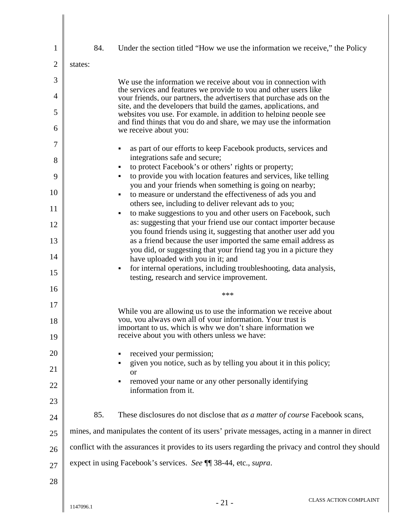| $\mathbf{1}$   | 84.     | Under the section titled "How we use the information we receive," the Policy                                                             |
|----------------|---------|------------------------------------------------------------------------------------------------------------------------------------------|
| $\overline{2}$ | states: |                                                                                                                                          |
| 3              |         | We use the information we receive about you in connection with                                                                           |
| $\overline{4}$ |         | the services and features we provide to you and other users like<br>your friends, our partners, the advertisers that purchase ads on the |
| 5              |         | site, and the developers that build the games, applications, and<br>websites you use. For example, in addition to helping people see     |
| 6              |         | and find things that you do and share, we may use the information<br>we receive about you:                                               |
| 7              |         | as part of our efforts to keep Facebook products, services and                                                                           |
| 8              |         | integrations safe and secure;<br>to protect Facebook's or others' rights or property;                                                    |
| 9              |         | to provide you with location features and services, like telling                                                                         |
| 10             |         | you and your friends when something is going on nearby;<br>to measure or understand the effectiveness of ads you and                     |
|                |         | others see, including to deliver relevant ads to you;                                                                                    |
| 11             |         | to make suggestions to you and other users on Facebook, such<br>٠                                                                        |
| 12             |         | as: suggesting that your friend use our contact importer because                                                                         |
|                |         | you found friends using it, suggesting that another user add you                                                                         |
| 13             |         | as a friend because the user imported the same email address as<br>you did, or suggesting that your friend tag you in a picture they     |
| 14             |         | have uploaded with you in it; and                                                                                                        |
| 15             |         | for internal operations, including troubleshooting, data analysis,<br>٠                                                                  |
|                |         | testing, research and service improvement.                                                                                               |
| 16             |         | ***                                                                                                                                      |
| 17             |         | While you are allowing us to use the information we receive about                                                                        |
| 18             |         | you, you always own all of your information. Your trust is<br>important to us, which is why we don't share information we                |
| 19             |         | receive about you with others unless we have:                                                                                            |
| 20             |         | received your permission;                                                                                                                |
| 21             |         | given you notice, such as by telling you about it in this policy;<br><b>or</b>                                                           |
| 22             |         | removed your name or any other personally identifying<br>information from it.                                                            |
| 23             |         |                                                                                                                                          |
| 24             | 85.     | These disclosures do not disclose that as a matter of course Facebook scans,                                                             |
| 25             |         | mines, and manipulates the content of its users' private messages, acting in a manner in direct                                          |
| 26             |         | conflict with the assurances it provides to its users regarding the privacy and control they should                                      |
| 27             |         | expect in using Facebook's services. See ¶¶ 38-44, etc., supra.                                                                          |
| 28             |         |                                                                                                                                          |
|                |         |                                                                                                                                          |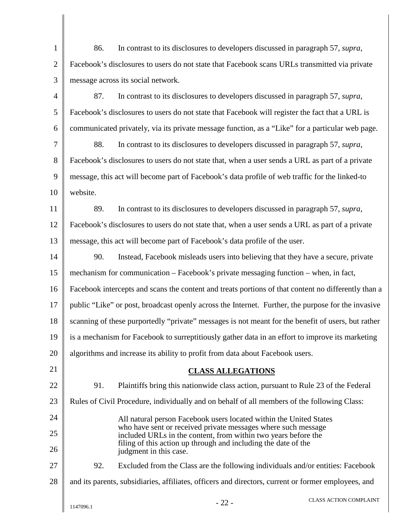| $\mathbf{1}$   | 86.<br>In contrast to its disclosures to developers discussed in paragraph 57, supra,                                           |  |  |  |
|----------------|---------------------------------------------------------------------------------------------------------------------------------|--|--|--|
| $\overline{2}$ | Facebook's disclosures to users do not state that Facebook scans URLs transmitted via private                                   |  |  |  |
| 3              | message across its social network.                                                                                              |  |  |  |
| 4              | In contrast to its disclosures to developers discussed in paragraph 57, supra,<br>87.                                           |  |  |  |
| 5              | Facebook's disclosures to users do not state that Facebook will register the fact that a URL is                                 |  |  |  |
| 6              | communicated privately, via its private message function, as a "Like" for a particular web page.                                |  |  |  |
| 7              | 88.<br>In contrast to its disclosures to developers discussed in paragraph 57, supra,                                           |  |  |  |
| 8              | Facebook's disclosures to users do not state that, when a user sends a URL as part of a private                                 |  |  |  |
| 9              | message, this act will become part of Facebook's data profile of web traffic for the linked-to                                  |  |  |  |
| 10             | website.                                                                                                                        |  |  |  |
| 11             | In contrast to its disclosures to developers discussed in paragraph 57, supra,<br>89.                                           |  |  |  |
| 12             | Facebook's disclosures to users do not state that, when a user sends a URL as part of a private                                 |  |  |  |
| 13             | message, this act will become part of Facebook's data profile of the user.                                                      |  |  |  |
| 14             | Instead, Facebook misleads users into believing that they have a secure, private<br>90.                                         |  |  |  |
| 15             | mechanism for communication – Facebook's private messaging function – when, in fact,                                            |  |  |  |
| 16             | Facebook intercepts and scans the content and treats portions of that content no differently than a                             |  |  |  |
| 17             | public "Like" or post, broadcast openly across the Internet. Further, the purpose for the invasive                              |  |  |  |
| 18             | scanning of these purportedly "private" messages is not meant for the benefit of users, but rather                              |  |  |  |
| 19             | is a mechanism for Facebook to surreptitiously gather data in an effort to improve its marketing                                |  |  |  |
| 20             | algorithms and increase its ability to profit from data about Facebook users.                                                   |  |  |  |
| 21             | <b>CLASS ALLEGATIONS</b>                                                                                                        |  |  |  |
| 22             | 91.<br>Plaintiffs bring this nationwide class action, pursuant to Rule 23 of the Federal                                        |  |  |  |
| 23             | Rules of Civil Procedure, individually and on behalf of all members of the following Class:                                     |  |  |  |
| 24             | All natural person Facebook users located within the United States                                                              |  |  |  |
| 25             | who have sent or received private messages where such message<br>included URLs in the content, from within two years before the |  |  |  |
| 26             | filing of this action up through and including the date of the<br>judgment in this case.                                        |  |  |  |
| 27             | 92.<br>Excluded from the Class are the following individuals and/or entities: Facebook                                          |  |  |  |
| 28             | and its parents, subsidiaries, affiliates, officers and directors, current or former employees, and                             |  |  |  |
|                | <b>CLASS ACTION COMPLAINT</b><br>$-22-$<br>1147096.1                                                                            |  |  |  |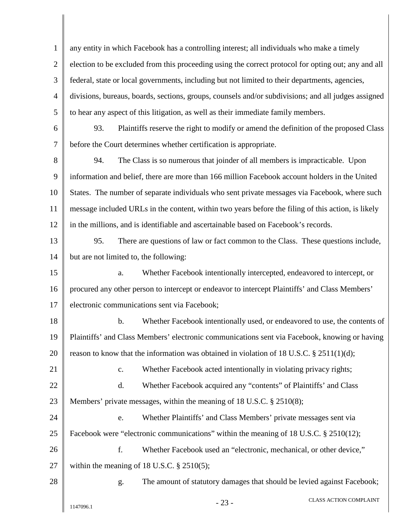1 2 3 4 5 6 7 8 9 10 11 12 13 14 15 16 17 18 19 20 21 22 23 24 25 26 27 28 any entity in which Facebook has a controlling interest; all individuals who make a timely election to be excluded from this proceeding using the correct protocol for opting out; any and all federal, state or local governments, including but not limited to their departments, agencies, divisions, bureaus, boards, sections, groups, counsels and/or subdivisions; and all judges assigned to hear any aspect of this litigation, as well as their immediate family members. 93. Plaintiffs reserve the right to modify or amend the definition of the proposed Class before the Court determines whether certification is appropriate. 94. The Class is so numerous that joinder of all members is impracticable. Upon information and belief, there are more than 166 million Facebook account holders in the United States. The number of separate individuals who sent private messages via Facebook, where such message included URLs in the content, within two years before the filing of this action, is likely in the millions, and is identifiable and ascertainable based on Facebook's records. 95. There are questions of law or fact common to the Class. These questions include, but are not limited to, the following: a. Whether Facebook intentionally intercepted, endeavored to intercept, or procured any other person to intercept or endeavor to intercept Plaintiffs' and Class Members' electronic communications sent via Facebook; b. Whether Facebook intentionally used, or endeavored to use, the contents of Plaintiffs' and Class Members' electronic communications sent via Facebook, knowing or having reason to know that the information was obtained in violation of 18 U.S.C.  $\S 2511(1)(d)$ ; c. Whether Facebook acted intentionally in violating privacy rights; d. Whether Facebook acquired any "contents" of Plaintiffs' and Class Members' private messages, within the meaning of 18 U.S.C. § 2510(8); e. Whether Plaintiffs' and Class Members' private messages sent via Facebook were "electronic communications" within the meaning of 18 U.S.C. § 2510(12); f. Whether Facebook used an "electronic, mechanical, or other device," within the meaning of 18 U.S.C. § 2510(5); g. The amount of statutory damages that should be levied against Facebook;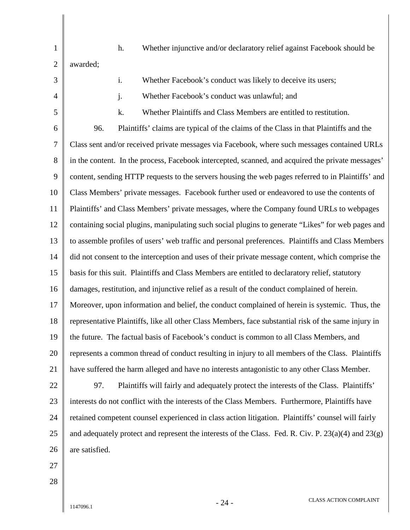1 2 3 4 5 6 7 8 9 10 11 12 13 14 15 16 17 18 19 20 21 22 23 24 25 26 27 28 h. Whether injunctive and/or declaratory relief against Facebook should be awarded; i. Whether Facebook's conduct was likely to deceive its users; j. Whether Facebook's conduct was unlawful; and k. Whether Plaintiffs and Class Members are entitled to restitution. 96. Plaintiffs' claims are typical of the claims of the Class in that Plaintiffs and the Class sent and/or received private messages via Facebook, where such messages contained URLs in the content. In the process, Facebook intercepted, scanned, and acquired the private messages' content, sending HTTP requests to the servers housing the web pages referred to in Plaintiffs' and Class Members' private messages. Facebook further used or endeavored to use the contents of Plaintiffs' and Class Members' private messages, where the Company found URLs to webpages containing social plugins, manipulating such social plugins to generate "Likes" for web pages and to assemble profiles of users' web traffic and personal preferences. Plaintiffs and Class Members did not consent to the interception and uses of their private message content, which comprise the basis for this suit. Plaintiffs and Class Members are entitled to declaratory relief, statutory damages, restitution, and injunctive relief as a result of the conduct complained of herein. Moreover, upon information and belief, the conduct complained of herein is systemic. Thus, the representative Plaintiffs, like all other Class Members, face substantial risk of the same injury in the future. The factual basis of Facebook's conduct is common to all Class Members, and represents a common thread of conduct resulting in injury to all members of the Class. Plaintiffs have suffered the harm alleged and have no interests antagonistic to any other Class Member. 97. Plaintiffs will fairly and adequately protect the interests of the Class. Plaintiffs' interests do not conflict with the interests of the Class Members. Furthermore, Plaintiffs have retained competent counsel experienced in class action litigation. Plaintiffs' counsel will fairly and adequately protect and represent the interests of the Class. Fed. R. Civ. P.  $23(a)(4)$  and  $23(g)$ are satisfied.

 $-24$  - CLASS ACTION COMPLAINT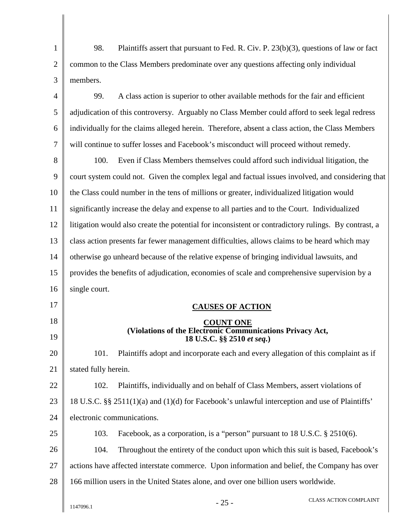1 2 3 98. Plaintiffs assert that pursuant to Fed. R. Civ. P. 23(b)(3), questions of law or fact common to the Class Members predominate over any questions affecting only individual members.

4 5 6 7 99. A class action is superior to other available methods for the fair and efficient adjudication of this controversy. Arguably no Class Member could afford to seek legal redress individually for the claims alleged herein. Therefore, absent a class action, the Class Members will continue to suffer losses and Facebook's misconduct will proceed without remedy.

8 9 10 11 12 13 14 15 16 100. Even if Class Members themselves could afford such individual litigation, the court system could not. Given the complex legal and factual issues involved, and considering that the Class could number in the tens of millions or greater, individualized litigation would significantly increase the delay and expense to all parties and to the Court. Individualized litigation would also create the potential for inconsistent or contradictory rulings. By contrast, a class action presents far fewer management difficulties, allows claims to be heard which may otherwise go unheard because of the relative expense of bringing individual lawsuits, and provides the benefits of adjudication, economies of scale and comprehensive supervision by a single court.

17 18 19 20 21 22 23 24 25  **CAUSES OF ACTION COUNT ONE (Violations of the Electronic Communications Privacy Act, 18 U.S.C. §§ 2510** *et seq.***)** 101. Plaintiffs adopt and incorporate each and every allegation of this complaint as if stated fully herein. 102. Plaintiffs, individually and on behalf of Class Members, assert violations of 18 U.S.C. §§ 2511(1)(a) and (1)(d) for Facebook's unlawful interception and use of Plaintiffs' electronic communications. 103. Facebook, as a corporation, is a "person" pursuant to 18 U.S.C. § 2510(6).

26 27 28 104. Throughout the entirety of the conduct upon which this suit is based, Facebook's actions have affected interstate commerce. Upon information and belief, the Company has over 166 million users in the United States alone, and over one billion users worldwide.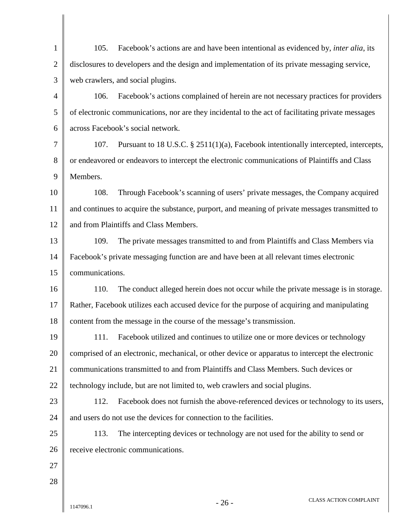| $\mathbf{1}$   | Facebook's actions are and have been intentional as evidenced by, <i>inter alia</i> , its<br>105. |  |  |  |  |
|----------------|---------------------------------------------------------------------------------------------------|--|--|--|--|
| $\overline{2}$ | disclosures to developers and the design and implementation of its private messaging service,     |  |  |  |  |
| 3              | web crawlers, and social plugins.                                                                 |  |  |  |  |
| 4              | Facebook's actions complained of herein are not necessary practices for providers<br>106.         |  |  |  |  |
| 5              | of electronic communications, nor are they incidental to the act of facilitating private messages |  |  |  |  |
| 6              | across Facebook's social network.                                                                 |  |  |  |  |
| 7              | Pursuant to 18 U.S.C. § 2511(1)(a), Facebook intentionally intercepted, intercepts,<br>107.       |  |  |  |  |
| 8              | or endeavored or endeavors to intercept the electronic communications of Plaintiffs and Class     |  |  |  |  |
| 9              | Members.                                                                                          |  |  |  |  |
| 10             | Through Facebook's scanning of users' private messages, the Company acquired<br>108.              |  |  |  |  |
| 11             | and continues to acquire the substance, purport, and meaning of private messages transmitted to   |  |  |  |  |
| 12             | and from Plaintiffs and Class Members.                                                            |  |  |  |  |
| 13             | The private messages transmitted to and from Plaintiffs and Class Members via<br>109.             |  |  |  |  |
| 14             | Facebook's private messaging function are and have been at all relevant times electronic          |  |  |  |  |
| 15             | communications.                                                                                   |  |  |  |  |
| 16             | The conduct alleged herein does not occur while the private message is in storage.<br>110.        |  |  |  |  |
| 17             | Rather, Facebook utilizes each accused device for the purpose of acquiring and manipulating       |  |  |  |  |
| 18             | content from the message in the course of the message's transmission.                             |  |  |  |  |
| 19             | Facebook utilized and continues to utilize one or more devices or technology<br>111.              |  |  |  |  |
| 20             | comprised of an electronic, mechanical, or other device or apparatus to intercept the electronic  |  |  |  |  |
| 21             | communications transmitted to and from Plaintiffs and Class Members. Such devices or              |  |  |  |  |
| 22             | technology include, but are not limited to, web crawlers and social plugins.                      |  |  |  |  |
| 23             | 112.<br>Facebook does not furnish the above-referenced devices or technology to its users,        |  |  |  |  |
| 24             | and users do not use the devices for connection to the facilities.                                |  |  |  |  |
| 25             | The intercepting devices or technology are not used for the ability to send or<br>113.            |  |  |  |  |
| 26             | receive electronic communications.                                                                |  |  |  |  |
| 27             |                                                                                                   |  |  |  |  |
| 28             |                                                                                                   |  |  |  |  |
|                | <b>CLASS ACTION COMPLAINT</b><br>$-26-$<br>1147096.1                                              |  |  |  |  |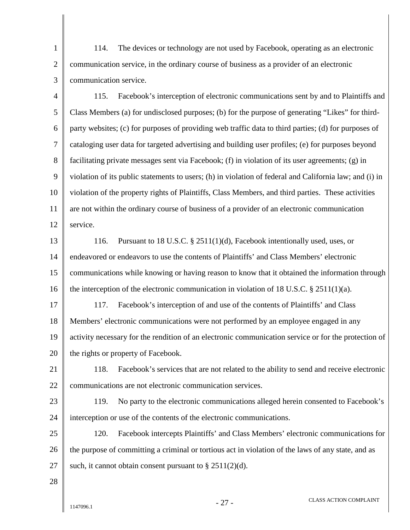1 2 3 114. The devices or technology are not used by Facebook, operating as an electronic communication service, in the ordinary course of business as a provider of an electronic communication service.

4 5 6 7 8 9 10 11 12 115. Facebook's interception of electronic communications sent by and to Plaintiffs and Class Members (a) for undisclosed purposes; (b) for the purpose of generating "Likes" for thirdparty websites; (c) for purposes of providing web traffic data to third parties; (d) for purposes of cataloging user data for targeted advertising and building user profiles; (e) for purposes beyond facilitating private messages sent via Facebook; (f) in violation of its user agreements; (g) in violation of its public statements to users; (h) in violation of federal and California law; and (i) in violation of the property rights of Plaintiffs, Class Members, and third parties. These activities are not within the ordinary course of business of a provider of an electronic communication service.

13 14 15 16 116. Pursuant to 18 U.S.C. § 2511(1)(d), Facebook intentionally used, uses, or endeavored or endeavors to use the contents of Plaintiffs' and Class Members' electronic communications while knowing or having reason to know that it obtained the information through the interception of the electronic communication in violation of 18 U.S.C.  $\S 2511(1)(a)$ .

17 18 19 20 117. Facebook's interception of and use of the contents of Plaintiffs' and Class Members' electronic communications were not performed by an employee engaged in any activity necessary for the rendition of an electronic communication service or for the protection of the rights or property of Facebook.

21 22 118. Facebook's services that are not related to the ability to send and receive electronic communications are not electronic communication services.

23

24

119. No party to the electronic communications alleged herein consented to Facebook's interception or use of the contents of the electronic communications.

25 26 27 120. Facebook intercepts Plaintiffs' and Class Members' electronic communications for the purpose of committing a criminal or tortious act in violation of the laws of any state, and as such, it cannot obtain consent pursuant to  $\S 2511(2)(d)$ .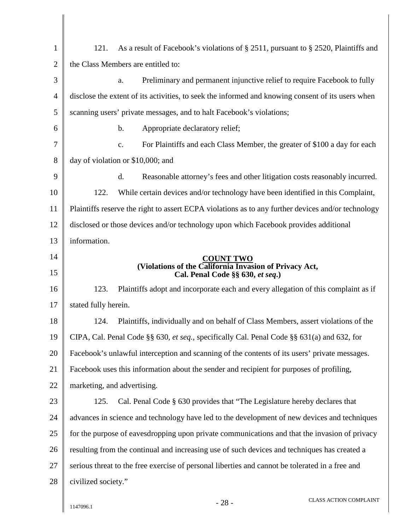| $\mathbf{1}$   | 121.<br>As a result of Facebook's violations of § 2511, pursuant to § 2520, Plaintiffs and         |  |  |
|----------------|----------------------------------------------------------------------------------------------------|--|--|
| $\overline{2}$ | the Class Members are entitled to:                                                                 |  |  |
| 3              | Preliminary and permanent injunctive relief to require Facebook to fully<br>a.                     |  |  |
| 4              | disclose the extent of its activities, to seek the informed and knowing consent of its users when  |  |  |
| 5              | scanning users' private messages, and to halt Facebook's violations;                               |  |  |
| 6              | b.<br>Appropriate declaratory relief;                                                              |  |  |
| 7              | For Plaintiffs and each Class Member, the greater of \$100 a day for each<br>c.                    |  |  |
| 8              | day of violation or \$10,000; and                                                                  |  |  |
| 9              | d.<br>Reasonable attorney's fees and other litigation costs reasonably incurred.                   |  |  |
| 10             | 122.<br>While certain devices and/or technology have been identified in this Complaint,            |  |  |
| 11             | Plaintiffs reserve the right to assert ECPA violations as to any further devices and/or technology |  |  |
| 12             | disclosed or those devices and/or technology upon which Facebook provides additional               |  |  |
| 13             | information.                                                                                       |  |  |
| 14             | <b>COUNT TWO</b>                                                                                   |  |  |
| 15             | (Violations of the California Invasion of Privacy Act,<br>Cal. Penal Code §§ 630, et seq.)         |  |  |
| 16             | 123.<br>Plaintiffs adopt and incorporate each and every allegation of this complaint as if         |  |  |
| 17             | stated fully herein.                                                                               |  |  |
| 18             | 124.<br>Plaintiffs, individually and on behalf of Class Members, assert violations of the          |  |  |
| 19             | CIPA, Cal. Penal Code §§ 630, et seq., specifically Cal. Penal Code §§ 631(a) and 632, for         |  |  |
| 20             | Facebook's unlawful interception and scanning of the contents of its users' private messages.      |  |  |
| 21             | Facebook uses this information about the sender and recipient for purposes of profiling,           |  |  |
| 22             | marketing, and advertising.                                                                        |  |  |
| 23             | Cal. Penal Code § 630 provides that "The Legislature hereby declares that<br>125.                  |  |  |
| 24             | advances in science and technology have led to the development of new devices and techniques       |  |  |
| 25             | for the purpose of eavesdropping upon private communications and that the invasion of privacy      |  |  |
| 26             | resulting from the continual and increasing use of such devices and techniques has created a       |  |  |
| 27             | serious threat to the free exercise of personal liberties and cannot be tolerated in a free and    |  |  |
|                |                                                                                                    |  |  |
| 28             | civilized society."                                                                                |  |  |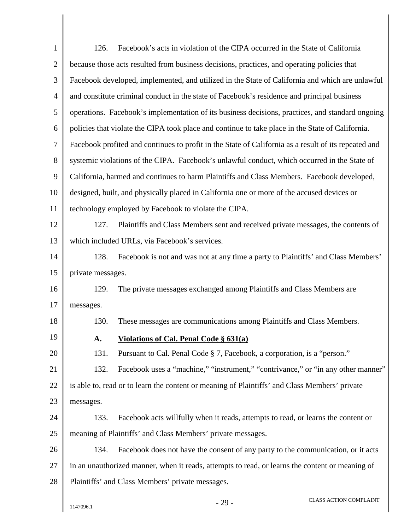| $\mathbf{1}$   | 126.                                                                                            | Facebook's acts in violation of the CIPA occurred in the State of California                         |  |  |
|----------------|-------------------------------------------------------------------------------------------------|------------------------------------------------------------------------------------------------------|--|--|
| $\overline{2}$ | because those acts resulted from business decisions, practices, and operating policies that     |                                                                                                      |  |  |
| 3              | Facebook developed, implemented, and utilized in the State of California and which are unlawful |                                                                                                      |  |  |
| $\overline{4}$ |                                                                                                 | and constitute criminal conduct in the state of Facebook's residence and principal business          |  |  |
| 5              |                                                                                                 | operations. Facebook's implementation of its business decisions, practices, and standard ongoing     |  |  |
| 6              |                                                                                                 | policies that violate the CIPA took place and continue to take place in the State of California.     |  |  |
| $\tau$         |                                                                                                 | Facebook profited and continues to profit in the State of California as a result of its repeated and |  |  |
| 8              |                                                                                                 | systemic violations of the CIPA. Facebook's unlawful conduct, which occurred in the State of         |  |  |
| 9              |                                                                                                 | California, harmed and continues to harm Plaintiffs and Class Members. Facebook developed,           |  |  |
| 10             | designed, built, and physically placed in California one or more of the accused devices or      |                                                                                                      |  |  |
| 11             | technology employed by Facebook to violate the CIPA.                                            |                                                                                                      |  |  |
| 12             | Plaintiffs and Class Members sent and received private messages, the contents of<br>127.        |                                                                                                      |  |  |
| 13             | which included URLs, via Facebook's services.                                                   |                                                                                                      |  |  |
| 14             | Facebook is not and was not at any time a party to Plaintiffs' and Class Members'<br>128.       |                                                                                                      |  |  |
| 15             | private messages.                                                                               |                                                                                                      |  |  |
| 16             | 129.                                                                                            | The private messages exchanged among Plaintiffs and Class Members are                                |  |  |
| 17             | messages.                                                                                       |                                                                                                      |  |  |
| 18             | 130.                                                                                            | These messages are communications among Plaintiffs and Class Members.                                |  |  |
| 19             | А.                                                                                              | <b>Violations of Cal. Penal Code § 631(a)</b>                                                        |  |  |
| 20             | 131.                                                                                            | Pursuant to Cal. Penal Code § 7, Facebook, a corporation, is a "person."                             |  |  |
| 21             | 132.                                                                                            | Facebook uses a "machine," "instrument," "contrivance," or "in any other manner"                     |  |  |
| 22             |                                                                                                 | is able to, read or to learn the content or meaning of Plaintiffs' and Class Members' private        |  |  |
| 23             | messages.                                                                                       |                                                                                                      |  |  |
| 24             | 133.                                                                                            | Facebook acts willfully when it reads, attempts to read, or learns the content or                    |  |  |
| 25             |                                                                                                 | meaning of Plaintiffs' and Class Members' private messages.                                          |  |  |
| 26             | 134.                                                                                            | Facebook does not have the consent of any party to the communication, or it acts                     |  |  |
| 27             | in an unauthorized manner, when it reads, attempts to read, or learns the content or meaning of |                                                                                                      |  |  |
| 28             |                                                                                                 | Plaintiffs' and Class Members' private messages.                                                     |  |  |
|                | 1147096.1                                                                                       | CLASS ACTION COMPLAINT<br>$-29-$                                                                     |  |  |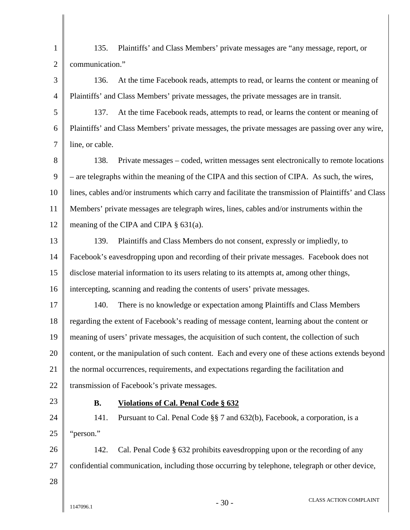1 2 3 4 5 6 7 8 9 10 11 12 13 14 15 16 17 18 19 20 21 22 23 24 25 26 27 28  $1147096.1$  -  $30$  - CLASS ACTION COMPLAINT 135. Plaintiffs' and Class Members' private messages are "any message, report, or communication." 136. At the time Facebook reads, attempts to read, or learns the content or meaning of Plaintiffs' and Class Members' private messages, the private messages are in transit. 137. At the time Facebook reads, attempts to read, or learns the content or meaning of Plaintiffs' and Class Members' private messages, the private messages are passing over any wire, line, or cable. 138. Private messages – coded, written messages sent electronically to remote locations – are telegraphs within the meaning of the CIPA and this section of CIPA. As such, the wires, lines, cables and/or instruments which carry and facilitate the transmission of Plaintiffs' and Class Members' private messages are telegraph wires, lines, cables and/or instruments within the meaning of the CIPA and CIPA § 631(a). 139. Plaintiffs and Class Members do not consent, expressly or impliedly, to Facebook's eavesdropping upon and recording of their private messages. Facebook does not disclose material information to its users relating to its attempts at, among other things, intercepting, scanning and reading the contents of users' private messages. 140. There is no knowledge or expectation among Plaintiffs and Class Members regarding the extent of Facebook's reading of message content, learning about the content or meaning of users' private messages, the acquisition of such content, the collection of such content, or the manipulation of such content. Each and every one of these actions extends beyond the normal occurrences, requirements, and expectations regarding the facilitation and transmission of Facebook's private messages. **B. Violations of Cal. Penal Code § 632** 141. Pursuant to Cal. Penal Code §§ 7 and 632(b), Facebook, a corporation, is a "person." 142. Cal. Penal Code § 632 prohibits eavesdropping upon or the recording of any confidential communication, including those occurring by telephone, telegraph or other device,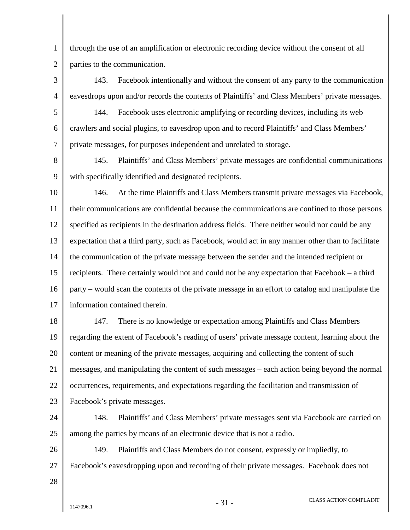1 2 through the use of an amplification or electronic recording device without the consent of all parties to the communication.

3 4 143. Facebook intentionally and without the consent of any party to the communication eavesdrops upon and/or records the contents of Plaintiffs' and Class Members' private messages.

5 6 7 144. Facebook uses electronic amplifying or recording devices, including its web crawlers and social plugins, to eavesdrop upon and to record Plaintiffs' and Class Members' private messages, for purposes independent and unrelated to storage.

8 9 145. Plaintiffs' and Class Members' private messages are confidential communications with specifically identified and designated recipients.

10 11 12 13 14 15 16 17 146. At the time Plaintiffs and Class Members transmit private messages via Facebook, their communications are confidential because the communications are confined to those persons specified as recipients in the destination address fields. There neither would nor could be any expectation that a third party, such as Facebook, would act in any manner other than to facilitate the communication of the private message between the sender and the intended recipient or recipients. There certainly would not and could not be any expectation that Facebook – a third party – would scan the contents of the private message in an effort to catalog and manipulate the information contained therein.

18 19 20 21 22 23 147. There is no knowledge or expectation among Plaintiffs and Class Members regarding the extent of Facebook's reading of users' private message content, learning about the content or meaning of the private messages, acquiring and collecting the content of such messages, and manipulating the content of such messages – each action being beyond the normal occurrences, requirements, and expectations regarding the facilitation and transmission of Facebook's private messages.

24 25 148. Plaintiffs' and Class Members' private messages sent via Facebook are carried on among the parties by means of an electronic device that is not a radio.

26 27 149. Plaintiffs and Class Members do not consent, expressly or impliedly, to Facebook's eavesdropping upon and recording of their private messages. Facebook does not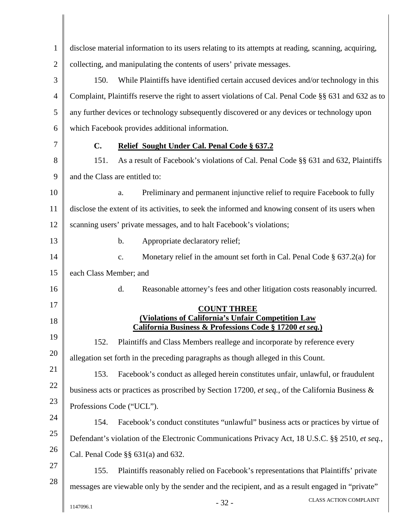| $\mathbf{1}$   | disclose material information to its users relating to its attempts at reading, scanning, acquiring, |  |  |  |
|----------------|------------------------------------------------------------------------------------------------------|--|--|--|
| $\overline{2}$ | collecting, and manipulating the contents of users' private messages.                                |  |  |  |
| 3              | 150.                                                                                                 |  |  |  |
|                | While Plaintiffs have identified certain accused devices and/or technology in this                   |  |  |  |
| 4              | Complaint, Plaintiffs reserve the right to assert violations of Cal. Penal Code §§ 631 and 632 as to |  |  |  |
| 5              | any further devices or technology subsequently discovered or any devices or technology upon          |  |  |  |
| 6              | which Facebook provides additional information.                                                      |  |  |  |
| 7              | C.<br>Relief Sought Under Cal. Penal Code § 637.2                                                    |  |  |  |
| 8              | As a result of Facebook's violations of Cal. Penal Code §§ 631 and 632, Plaintiffs<br>151.           |  |  |  |
| 9              | and the Class are entitled to:                                                                       |  |  |  |
| 10             | Preliminary and permanent injunctive relief to require Facebook to fully<br>a.                       |  |  |  |
| 11             | disclose the extent of its activities, to seek the informed and knowing consent of its users when    |  |  |  |
| 12             | scanning users' private messages, and to halt Facebook's violations;                                 |  |  |  |
| 13             | $b$ .<br>Appropriate declaratory relief;                                                             |  |  |  |
| 14             | Monetary relief in the amount set forth in Cal. Penal Code $\S$ 637.2(a) for<br>$\mathbf{c}$ .       |  |  |  |
| 15             | each Class Member; and                                                                               |  |  |  |
| 16             | d.<br>Reasonable attorney's fees and other litigation costs reasonably incurred.                     |  |  |  |
| 17             | <b>COUNT THREE</b>                                                                                   |  |  |  |
| 18             | <b>(Violations of California's Unfair Competition Law</b>                                            |  |  |  |
| 19             | California Business & Professions Code § 17200 et seq.)                                              |  |  |  |
| 20             | 152.<br>Plaintiffs and Class Members reallege and incorporate by reference every                     |  |  |  |
|                | allegation set forth in the preceding paragraphs as though alleged in this Count.                    |  |  |  |
| 21             | 153.<br>Facebook's conduct as alleged herein constitutes unfair, unlawful, or fraudulent             |  |  |  |
| 22             | business acts or practices as proscribed by Section 17200, et seq., of the California Business &     |  |  |  |
| 23             | Professions Code ("UCL").                                                                            |  |  |  |
| 24             | Facebook's conduct constitutes "unlawful" business acts or practices by virtue of<br>154.            |  |  |  |
| 25             | Defendant's violation of the Electronic Communications Privacy Act, 18 U.S.C. §§ 2510, et seq.,      |  |  |  |
| 26             | Cal. Penal Code $\S\S 631(a)$ and 632.                                                               |  |  |  |
| 27             | Plaintiffs reasonably relied on Facebook's representations that Plaintiffs' private<br>155.          |  |  |  |
| 28             | messages are viewable only by the sender and the recipient, and as a result engaged in "private"     |  |  |  |
|                | CLASS ACTION COMPLAINT<br>$-32-$<br>1147096.1                                                        |  |  |  |
|                |                                                                                                      |  |  |  |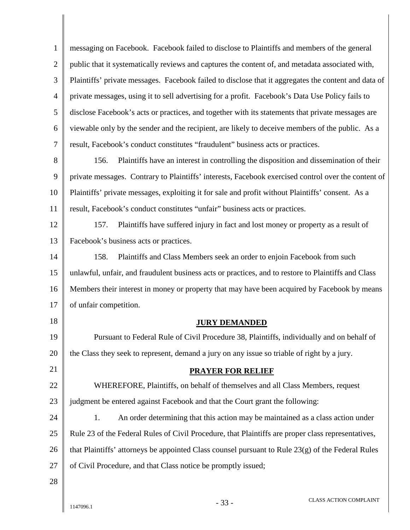1 2 3 4 5 6 7 8 9 10 11 12 13 14 15 16 17 18 19 20 21 22 23 24 25 26 27 28 messaging on Facebook. Facebook failed to disclose to Plaintiffs and members of the general public that it systematically reviews and captures the content of, and metadata associated with, Plaintiffs' private messages. Facebook failed to disclose that it aggregates the content and data of private messages, using it to sell advertising for a profit. Facebook's Data Use Policy fails to disclose Facebook's acts or practices, and together with its statements that private messages are viewable only by the sender and the recipient, are likely to deceive members of the public. As a result, Facebook's conduct constitutes "fraudulent" business acts or practices. 156. Plaintiffs have an interest in controlling the disposition and dissemination of their private messages. Contrary to Plaintiffs' interests, Facebook exercised control over the content of Plaintiffs' private messages, exploiting it for sale and profit without Plaintiffs' consent. As a result, Facebook's conduct constitutes "unfair" business acts or practices. 157. Plaintiffs have suffered injury in fact and lost money or property as a result of Facebook's business acts or practices. 158. Plaintiffs and Class Members seek an order to enjoin Facebook from such unlawful, unfair, and fraudulent business acts or practices, and to restore to Plaintiffs and Class Members their interest in money or property that may have been acquired by Facebook by means of unfair competition.  **JURY DEMANDED** Pursuant to Federal Rule of Civil Procedure 38, Plaintiffs, individually and on behalf of the Class they seek to represent, demand a jury on any issue so triable of right by a jury.  **PRAYER FOR RELIEF** WHEREFORE, Plaintiffs, on behalf of themselves and all Class Members, request judgment be entered against Facebook and that the Court grant the following: 1. An order determining that this action may be maintained as a class action under Rule 23 of the Federal Rules of Civil Procedure, that Plaintiffs are proper class representatives, that Plaintiffs' attorneys be appointed Class counsel pursuant to Rule 23(g) of the Federal Rules of Civil Procedure, and that Class notice be promptly issued;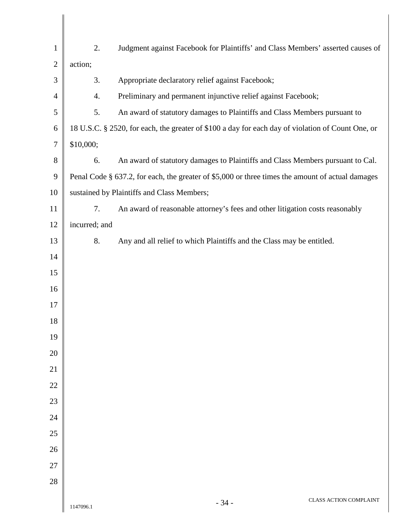| $\mathbf{1}$     | 2.            | Judgment against Facebook for Plaintiffs' and Class Members' asserted causes of                   |  |  |  |
|------------------|---------------|---------------------------------------------------------------------------------------------------|--|--|--|
| $\mathbf{2}$     | action;       |                                                                                                   |  |  |  |
| 3                | 3.            | Appropriate declaratory relief against Facebook;                                                  |  |  |  |
| $\overline{4}$   | 4.            | Preliminary and permanent injunctive relief against Facebook;                                     |  |  |  |
| 5                | 5.            | An award of statutory damages to Plaintiffs and Class Members pursuant to                         |  |  |  |
| 6                |               | 18 U.S.C. § 2520, for each, the greater of \$100 a day for each day of violation of Count One, or |  |  |  |
| $\boldsymbol{7}$ | \$10,000;     |                                                                                                   |  |  |  |
| $8\,$            | 6.            | An award of statutory damages to Plaintiffs and Class Members pursuant to Cal.                    |  |  |  |
| $\boldsymbol{9}$ |               | Penal Code § 637.2, for each, the greater of \$5,000 or three times the amount of actual damages  |  |  |  |
| 10               |               | sustained by Plaintiffs and Class Members;                                                        |  |  |  |
| 11               | 7.            | An award of reasonable attorney's fees and other litigation costs reasonably                      |  |  |  |
| 12               | incurred; and |                                                                                                   |  |  |  |
| 13               | 8.            | Any and all relief to which Plaintiffs and the Class may be entitled.                             |  |  |  |
| 14               |               |                                                                                                   |  |  |  |
| 15               |               |                                                                                                   |  |  |  |
| 16               |               |                                                                                                   |  |  |  |
| 17               |               |                                                                                                   |  |  |  |
| 18               |               |                                                                                                   |  |  |  |
| 19               |               |                                                                                                   |  |  |  |
| 20               |               |                                                                                                   |  |  |  |
| 21               |               |                                                                                                   |  |  |  |
| 22               |               |                                                                                                   |  |  |  |
| 23               |               |                                                                                                   |  |  |  |
| 24               |               |                                                                                                   |  |  |  |
| 25               |               |                                                                                                   |  |  |  |
| 26               |               |                                                                                                   |  |  |  |
| 27               |               |                                                                                                   |  |  |  |
| 28               |               |                                                                                                   |  |  |  |
|                  | 1147096.1     | <b>CLASS ACTION COMPLAINT</b><br>$-34-$                                                           |  |  |  |

Ι